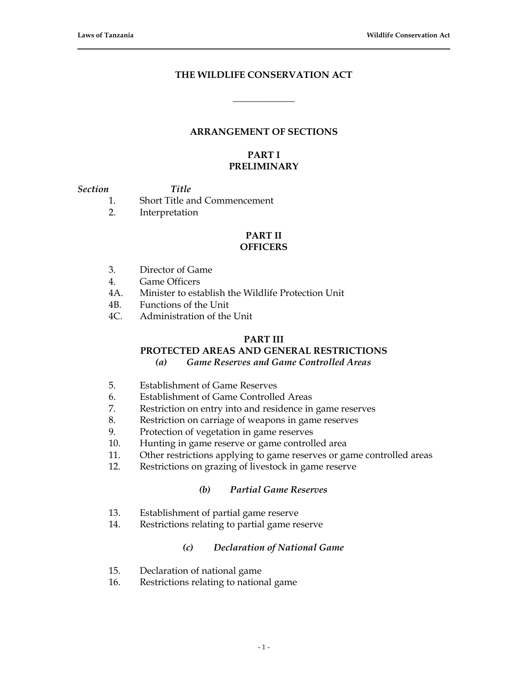## **THE WILDLIFE CONSERVATION ACT**

**\_\_\_\_\_\_\_\_\_\_\_\_\_**

# **ARRANGEMENT OF SECTIONS**

### **PART I PRELIMINARY**

#### *Section Title*

- 
- 1. Short Title and Commencement
- 2. Interpretation

# **PART II**

# **OFFICERS**

- 3. Director of Game
- 4. Game Officers
- 4A. Minister to establish the Wildlife Protection Unit
- 4B. Functions of the Unit
- 4C. Administration of the Unit

#### **PART III**

# **PROTECTED AREAS AND GENERAL RESTRICTIONS**

*(a) Game Reserves and Game Controlled Areas*

- 5. Establishment of Game Reserves
- 6. Establishment of Game Controlled Areas
- 7. Restriction on entry into and residence in game reserves
- 8. Restriction on carriage of weapons in game reserves
- 9. Protection of vegetation in game reserves
- 10. Hunting in game reserve or game controlled area
- 11. Other restrictions applying to game reserves or game controlled areas
- 12. Restrictions on grazing of livestock in game reserve

## *(b) Partial Game Reserves*

- 13. Establishment of partial game reserve
- 14. Restrictions relating to partial game reserve

### *(c) Declaration of National Game*

- 15. Declaration of national game
- 16. Restrictions relating to national game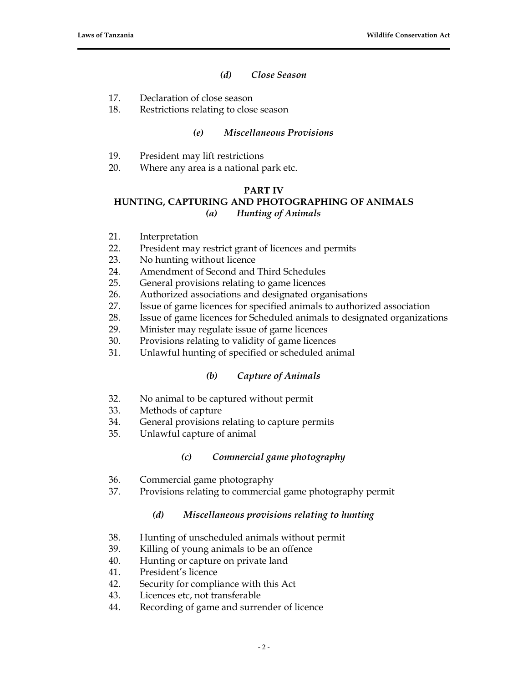## *(d) Close Season*

- 17. Declaration of close season
- 18. Restrictions relating to close season

## *(e) Miscellaneous Provisions*

- 19. President may lift restrictions
- 20. Where any area is a national park etc.

#### **PART IV**

# **HUNTING, CAPTURING AND PHOTOGRAPHING OF ANIMALS**

# *(a) Hunting of Animals*

- 21. Interpretation
- 22. President may restrict grant of licences and permits
- 23. No hunting without licence
- 24. Amendment of Second and Third Schedules
- 25. General provisions relating to game licences
- 26. Authorized associations and designated organisations
- 27. Issue of game licences for specified animals to authorized association
- 28. Issue of game licences for Scheduled animals to designated organizations
- 29. Minister may regulate issue of game licences
- 30. Provisions relating to validity of game licences
- 31. Unlawful hunting of specified or scheduled animal

### *(b) Capture of Animals*

- 32. No animal to be captured without permit
- 33. Methods of capture
- 34. General provisions relating to capture permits
- 35. Unlawful capture of animal

### *(c) Commercial game photography*

- 36. Commercial game photography
- 37. Provisions relating to commercial game photography permit

# *(d) Miscellaneous provisions relating to hunting*

- 38. Hunting of unscheduled animals without permit
- 39. Killing of young animals to be an offence
- 40. Hunting or capture on private land
- 41. President's licence
- 42. Security for compliance with this Act
- 43. Licences etc, not transferable
- 44. Recording of game and surrender of licence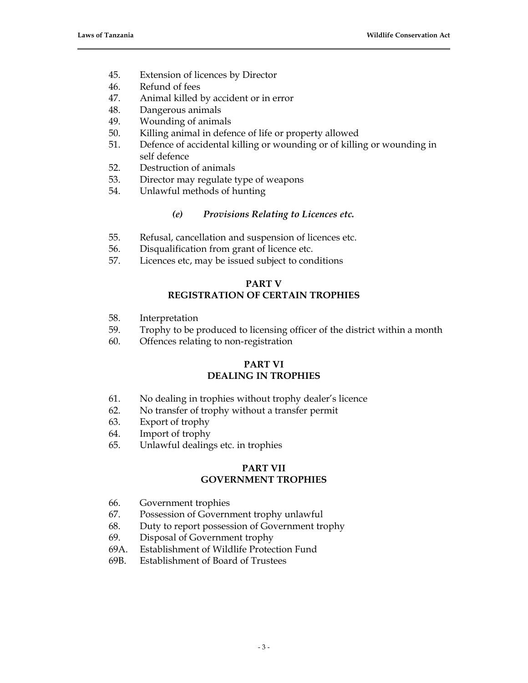- 45. Extension of licences by Director
- 46. Refund of fees
- 47. Animal killed by accident or in error
- 48. Dangerous animals
- 49. Wounding of animals
- 50. Killing animal in defence of life or property allowed
- 51. Defence of accidental killing or wounding or of killing or wounding in self defence
- 52. Destruction of animals
- 53. Director may regulate type of weapons
- 54. Unlawful methods of hunting

# *(e) Provisions Relating to Licences etc.*

- 55. Refusal, cancellation and suspension of licences etc.
- 56. Disqualification from grant of licence etc.
- 57. Licences etc, may be issued subject to conditions

# **PART V REGISTRATION OF CERTAIN TROPHIES**

- 58. Interpretation
- 59. Trophy to be produced to licensing officer of the district within a month
- 60. Offences relating to non-registration

### **PART VI DEALING IN TROPHIES**

- 61. No dealing in trophies without trophy dealer's licence
- 62. No transfer of trophy without a transfer permit
- 63. Export of trophy
- 64. Import of trophy
- 65. Unlawful dealings etc. in trophies

### **PART VII GOVERNMENT TROPHIES**

- 66. Government trophies
- 67. Possession of Government trophy unlawful
- 68. Duty to report possession of Government trophy
- 69. Disposal of Government trophy
- 69A. Establishment of Wildlife Protection Fund
- 69B. Establishment of Board of Trustees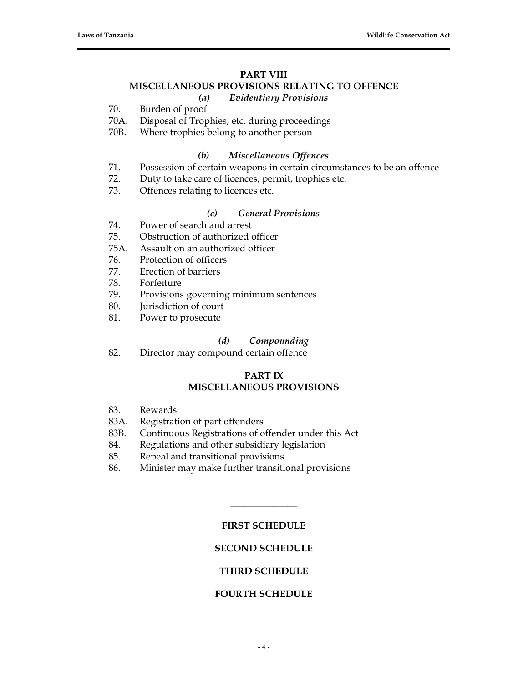# **PART VIII MISCELLANEOUS PROVISIONS RELATING TO OFFENCE**

### *(a) Evidentiary Provisions*

70. Burden of proof

- 70A. Disposal of Trophies, etc. during proceedings
- 70B. Where trophies belong to another person

#### *(b) Miscellaneous Offences*

- 71. Possession of certain weapons in certain circumstances to be an offence
- 72. Duty to take care of licences, permit, trophies etc.
- 73. Offences relating to licences etc.

## *(c) General Provisions*

- 74. Power of search and arrest
- 75. Obstruction of authorized officer
- 75A. Assault on an authorized officer
- 76. Protection of officers
- 77. Erection of barriers
- 78. Forfeiture
- 79. Provisions governing minimum sentences
- 80. Jurisdiction of court
- 81. Power to prosecute

#### *(d) Compounding*

82. Director may compound certain offence

### **PART IX MISCELLANEOUS PROVISIONS**

- 83. Rewards
- 83A. Registration of part offenders
- 83B. Continuous Registrations of offender under this Act
- 84. Regulations and other subsidiary legislation
- 85. Repeal and transitional provisions
- 86. Minister may make further transitional provisions

### **FIRST SCHEDULE**

**\_\_\_\_\_\_\_\_\_\_\_\_\_\_**

### **SECOND SCHEDULE**

### **THIRD SCHEDULE**

### **FOURTH SCHEDULE**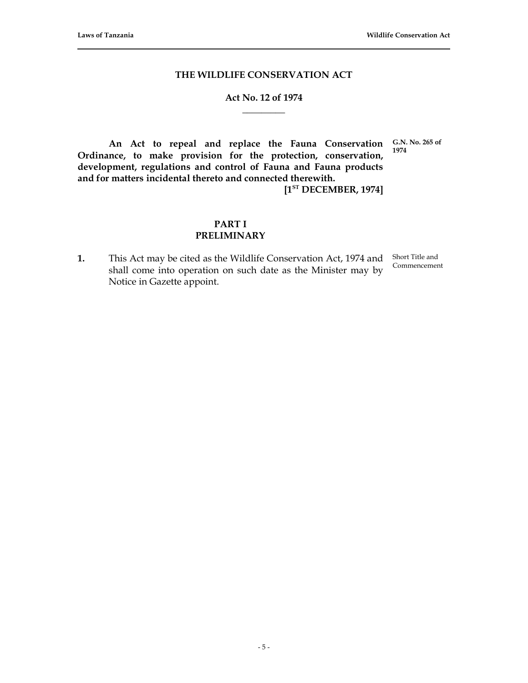#### **THE WILDLIFE CONSERVATION ACT**

# **Act No. 12 of 1974 \_\_\_\_\_\_\_\_\_**

**1974**

**An Act to repeal and replace the Fauna Conservation G.N. No. 265 of Ordinance, to make provision for the protection, conservation, development, regulations and control of Fauna and Fauna products and for matters incidental thereto and connected therewith.**

**[1ST DECEMBER, 1974]**

# **PART I PRELIMINARY**

**1.** This Act may be cited as the Wildlife Conservation Act, 1974 and Short Title and shall come into operation on such date as the Minister may by Notice in Gazette appoint.

Commencement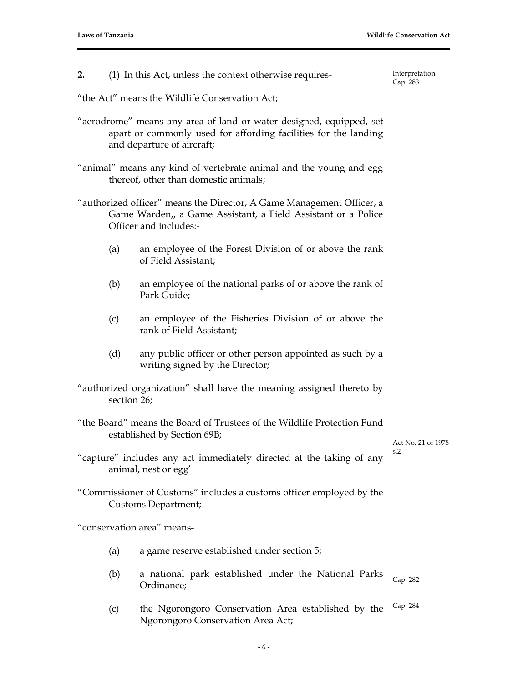**2.** (1) In this Act, unless the context otherwise requires-

Interpretation Cap. 283

"the Act" means the Wildlife Conservation Act;

- "aerodrome" means any area of land or water designed, equipped, set apart or commonly used for affording facilities for the landing and departure of aircraft;
- "animal" means any kind of vertebrate animal and the young and egg thereof, other than domestic animals;
- "authorized officer" means the Director, A Game Management Officer, a Game Warden,, a Game Assistant, a Field Assistant or a Police Officer and includes:-
	- (a) an employee of the Forest Division of or above the rank of Field Assistant;
	- (b) an employee of the national parks of or above the rank of Park Guide;
	- (c) an employee of the Fisheries Division of or above the rank of Field Assistant;
	- (d) any public officer or other person appointed as such by a writing signed by the Director;
- "authorized organization" shall have the meaning assigned thereto by section 26;
- "the Board" means the Board of Trustees of the Wildlife Protection Fund established by Section 69B;

Act No. 21 of 1978 s.2

- "capture" includes any act immediately directed at the taking of any animal, nest or egg'
- "Commissioner of Customs" includes a customs officer employed by the Customs Department;

"conservation area" means-

- (a) a game reserve established under section 5;
- (b) a national park established under the National Parks Ordinance; Cap. 282
- (c) the Ngorongoro Conservation Area established by the Ngorongoro Conservation Area Act; Cap. 284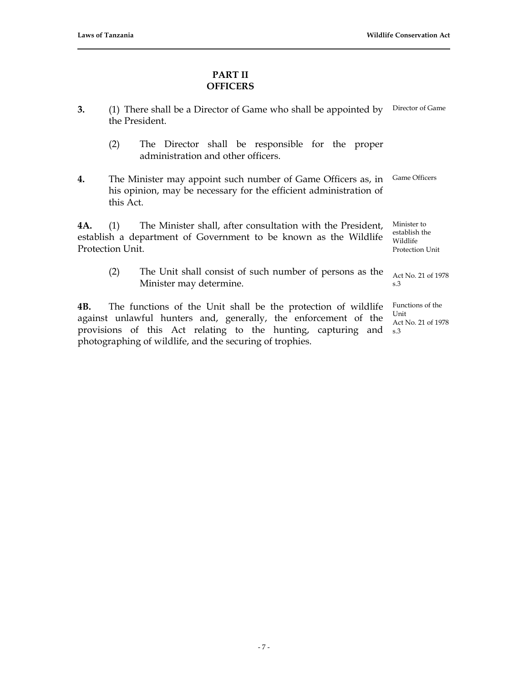# **PART II OFFICERS**

- **3.** (1) There shall be a Director of Game who shall be appointed by Director of Game the President.
	- (2) The Director shall be responsible for the proper administration and other officers.
- **4.** The Minister may appoint such number of Game Officers as, in his opinion, may be necessary for the efficient administration of this Act. Game Officers

**4A.** (1) The Minister shall, after consultation with the President, establish a department of Government to be known as the Wildlife Protection Unit. Minister to Wildlife

(2) The Unit shall consist of such number of persons as the Minister may determine.

**4B.** The functions of the Unit shall be the protection of wildlife against unlawful hunters and, generally, the enforcement of the provisions of this Act relating to the hunting, capturing and s.3 photographing of wildlife, and the securing of trophies.

establish the Protection Unit

Act No. 21 of 1978 s.3

Functions of the Unit Act No. 21 of 1978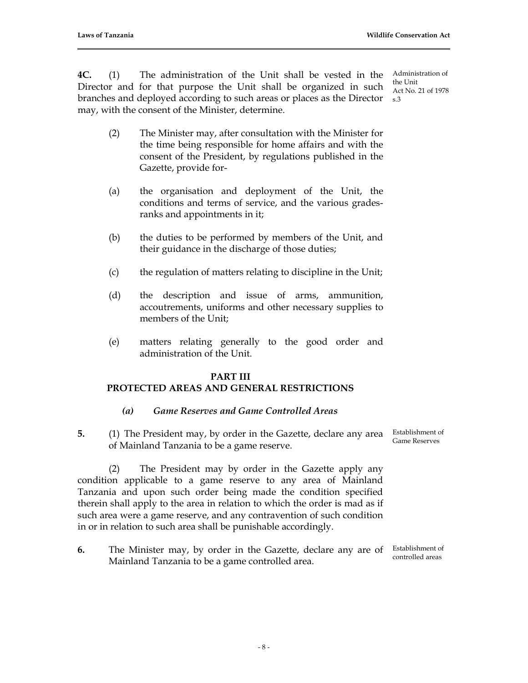**4C.** (1) The administration of the Unit shall be vested in the Director and for that purpose the Unit shall be organized in such branches and deployed according to such areas or places as the Director s.3 may, with the consent of the Minister, determine.

- (2) The Minister may, after consultation with the Minister for the time being responsible for home affairs and with the consent of the President, by regulations published in the Gazette, provide for-
- (a) the organisation and deployment of the Unit, the conditions and terms of service, and the various gradesranks and appointments in it;
- (b) the duties to be performed by members of the Unit, and their guidance in the discharge of those duties;
- (c) the regulation of matters relating to discipline in the Unit;
- (d) the description and issue of arms, ammunition, accoutrements, uniforms and other necessary supplies to members of the Unit;
- (e) matters relating generally to the good order and administration of the Unit.

#### **PART III**

### **PROTECTED AREAS AND GENERAL RESTRICTIONS**

- *(a) Game Reserves and Game Controlled Areas*
- **5.** (1) The President may, by order in the Gazette, declare any area of Mainland Tanzania to be a game reserve. Establishment of Game Reserves

(2) The President may by order in the Gazette apply any condition applicable to a game reserve to any area of Mainland Tanzania and upon such order being made the condition specified therein shall apply to the area in relation to which the order is mad as if such area were a game reserve, and any contravention of such condition in or in relation to such area shall be punishable accordingly.

**6.** The Minister may, by order in the Gazette, declare any are of Establishment of Mainland Tanzania to be a game controlled area. controlled areas

Administration of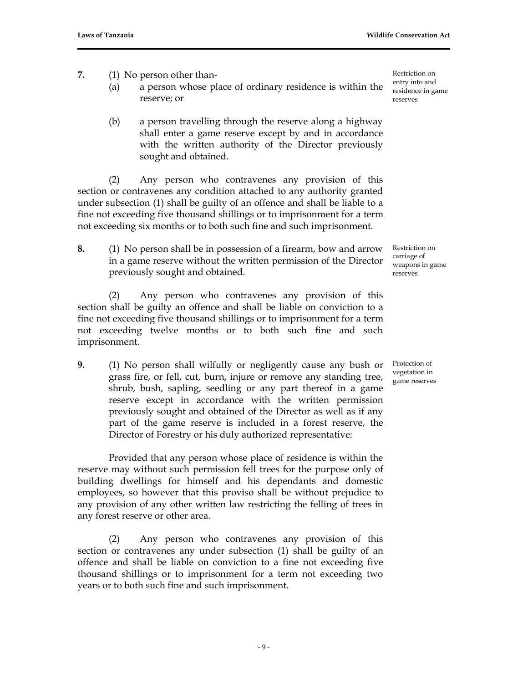- **7.** (1) No person other than-
	- (a) a person whose place of ordinary residence is within the reserve; or
	- (b) a person travelling through the reserve along a highway shall enter a game reserve except by and in accordance with the written authority of the Director previously sought and obtained.

(2) Any person who contravenes any provision of this section or contravenes any condition attached to any authority granted under subsection (1) shall be guilty of an offence and shall be liable to a fine not exceeding five thousand shillings or to imprisonment for a term not exceeding six months or to both such fine and such imprisonment.

**8.** (1) No person shall be in possession of a firearm, bow and arrow in a game reserve without the written permission of the Director previously sought and obtained.

(2) Any person who contravenes any provision of this section shall be guilty an offence and shall be liable on conviction to a fine not exceeding five thousand shillings or to imprisonment for a term not exceeding twelve months or to both such fine and such imprisonment.

**9.** (1) No person shall wilfully or negligently cause any bush or grass fire, or fell, cut, burn, injure or remove any standing tree, shrub, bush, sapling, seedling or any part thereof in a game reserve except in accordance with the written permission previously sought and obtained of the Director as well as if any part of the game reserve is included in a forest reserve, the Director of Forestry or his duly authorized representative:

Provided that any person whose place of residence is within the reserve may without such permission fell trees for the purpose only of building dwellings for himself and his dependants and domestic employees, so however that this proviso shall be without prejudice to any provision of any other written law restricting the felling of trees in any forest reserve or other area.

(2) Any person who contravenes any provision of this section or contravenes any under subsection (1) shall be guilty of an offence and shall be liable on conviction to a fine not exceeding five thousand shillings or to imprisonment for a term not exceeding two years or to both such fine and such imprisonment.

Restriction on entry into and residence in game reserves

Restriction on carriage of weapons in game reserves

Protection of vegetation in game reserves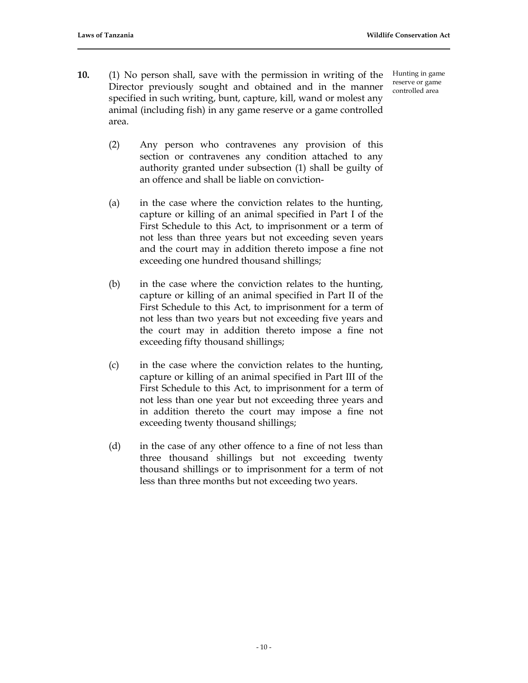**10.** (1) No person shall, save with the permission in writing of the Director previously sought and obtained and in the manner specified in such writing, bunt, capture, kill, wand or molest any animal (including fish) in any game reserve or a game controlled area.

Hunting in game reserve or game controlled area

- (2) Any person who contravenes any provision of this section or contravenes any condition attached to any authority granted under subsection (1) shall be guilty of an offence and shall be liable on conviction-
- (a) in the case where the conviction relates to the hunting, capture or killing of an animal specified in Part I of the First Schedule to this Act, to imprisonment or a term of not less than three years but not exceeding seven years and the court may in addition thereto impose a fine not exceeding one hundred thousand shillings;
- (b) in the case where the conviction relates to the hunting, capture or killing of an animal specified in Part II of the First Schedule to this Act, to imprisonment for a term of not less than two years but not exceeding five years and the court may in addition thereto impose a fine not exceeding fifty thousand shillings;
- (c) in the case where the conviction relates to the hunting, capture or killing of an animal specified in Part III of the First Schedule to this Act, to imprisonment for a term of not less than one year but not exceeding three years and in addition thereto the court may impose a fine not exceeding twenty thousand shillings;
- (d) in the case of any other offence to a fine of not less than three thousand shillings but not exceeding twenty thousand shillings or to imprisonment for a term of not less than three months but not exceeding two years.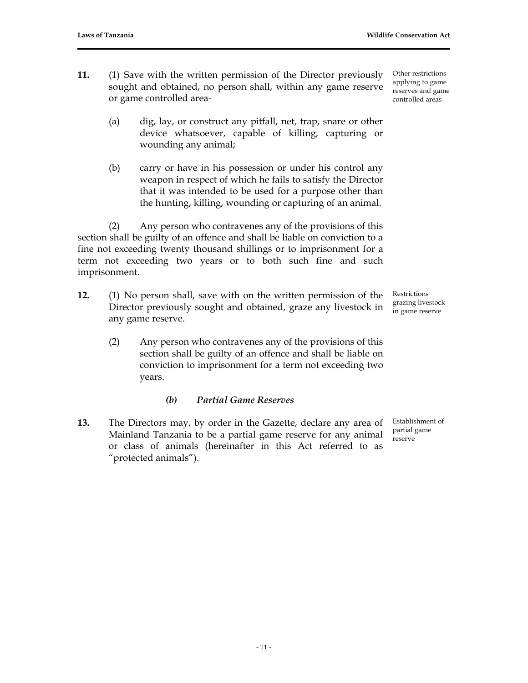Other restrictions applying to game reserves and game controlled areas

- **11.** (1) Save with the written permission of the Director previously sought and obtained, no person shall, within any game reserve or game controlled area-
	- (a) dig, lay, or construct any pitfall, net, trap, snare or other device whatsoever, capable of killing, capturing or wounding any animal;
	- (b) carry or have in his possession or under his control any weapon in respect of which he fails to satisfy the Director that it was intended to be used for a purpose other than the hunting, killing, wounding or capturing of an animal.

(2) Any person who contravenes any of the provisions of this section shall be guilty of an offence and shall be liable on conviction to a fine not exceeding twenty thousand shillings or to imprisonment for a term not exceeding two years or to both such fine and such imprisonment.

- **12.** (1) No person shall, save with on the written permission of the Director previously sought and obtained, graze any livestock in any game reserve.
	- (2) Any person who contravenes any of the provisions of this section shall be guilty of an offence and shall be liable on conviction to imprisonment for a term not exceeding two years.

### *(b) Partial Game Reserves*

**13.** The Directors may, by order in the Gazette, declare any area of Mainland Tanzania to be a partial game reserve for any animal or class of animals (hereinafter in this Act referred to as "protected animals").

Restrictions grazing livestock in game reserve

Establishment of partial game reserve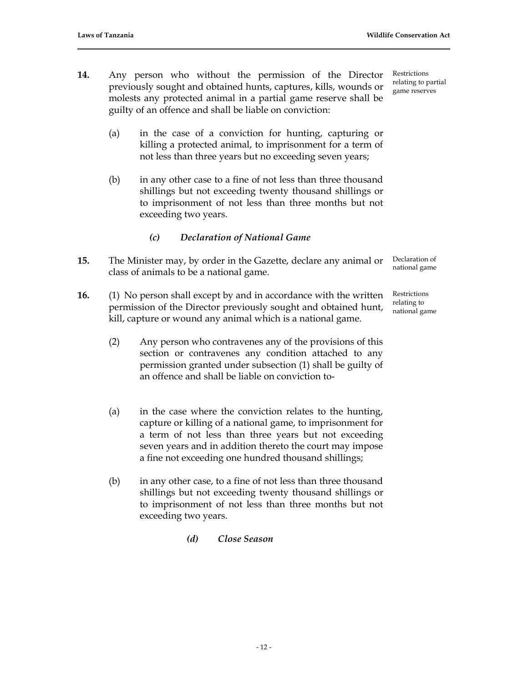- **14.** Any person who without the permission of the Director previously sought and obtained hunts, captures, kills, wounds or molests any protected animal in a partial game reserve shall be guilty of an offence and shall be liable on conviction:
	- (a) in the case of a conviction for hunting, capturing or killing a protected animal, to imprisonment for a term of not less than three years but no exceeding seven years;
	- (b) in any other case to a fine of not less than three thousand shillings but not exceeding twenty thousand shillings or to imprisonment of not less than three months but not exceeding two years.
		- *(c) Declaration of National Game*
- **15.** The Minister may, by order in the Gazette, declare any animal or class of animals to be a national game.
- **16.** (1) No person shall except by and in accordance with the written permission of the Director previously sought and obtained hunt, kill, capture or wound any animal which is a national game.
	- (2) Any person who contravenes any of the provisions of this section or contravenes any condition attached to any permission granted under subsection (1) shall be guilty of an offence and shall be liable on conviction to-
	- (a) in the case where the conviction relates to the hunting, capture or killing of a national game, to imprisonment for a term of not less than three years but not exceeding seven years and in addition thereto the court may impose a fine not exceeding one hundred thousand shillings;
	- (b) in any other case, to a fine of not less than three thousand shillings but not exceeding twenty thousand shillings or to imprisonment of not less than three months but not exceeding two years.
		- *(d) Close Season*

Restrictions relating to partial game reserves

Declaration of national game

Restrictions relating to national game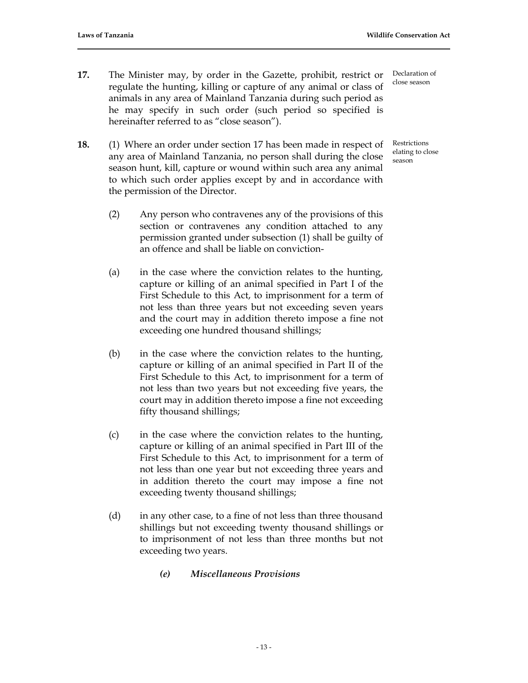- **17.** The Minister may, by order in the Gazette, prohibit, restrict or regulate the hunting, killing or capture of any animal or class of animals in any area of Mainland Tanzania during such period as he may specify in such order (such period so specified is hereinafter referred to as "close season").
- **18.** (1) Where an order under section 17 has been made in respect of any area of Mainland Tanzania, no person shall during the close season hunt, kill, capture or wound within such area any animal to which such order applies except by and in accordance with the permission of the Director.
	- (2) Any person who contravenes any of the provisions of this section or contravenes any condition attached to any permission granted under subsection (1) shall be guilty of an offence and shall be liable on conviction-
	- (a) in the case where the conviction relates to the hunting, capture or killing of an animal specified in Part I of the First Schedule to this Act, to imprisonment for a term of not less than three years but not exceeding seven years and the court may in addition thereto impose a fine not exceeding one hundred thousand shillings;
	- (b) in the case where the conviction relates to the hunting, capture or killing of an animal specified in Part II of the First Schedule to this Act, to imprisonment for a term of not less than two years but not exceeding five years, the court may in addition thereto impose a fine not exceeding fifty thousand shillings;
	- (c) in the case where the conviction relates to the hunting, capture or killing of an animal specified in Part III of the First Schedule to this Act, to imprisonment for a term of not less than one year but not exceeding three years and in addition thereto the court may impose a fine not exceeding twenty thousand shillings;
	- (d) in any other case, to a fine of not less than three thousand shillings but not exceeding twenty thousand shillings or to imprisonment of not less than three months but not exceeding two years.
		- *(e) Miscellaneous Provisions*

Declaration of close season

Restrictions elating to close season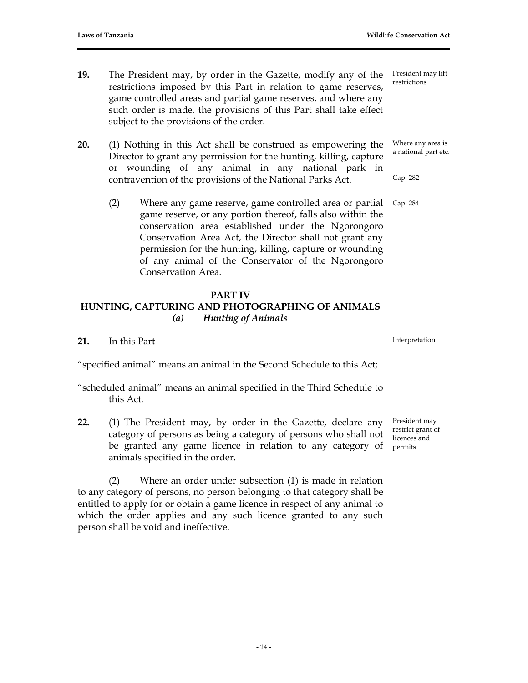- **19.** The President may, by order in the Gazette, modify any of the restrictions imposed by this Part in relation to game reserves, game controlled areas and partial game reserves, and where any such order is made, the provisions of this Part shall take effect subject to the provisions of the order.
- **20.** (1) Nothing in this Act shall be construed as empowering the Director to grant any permission for the hunting, killing, capture or wounding of any animal in any national park in contravention of the provisions of the National Parks Act.
	- (2) Where any game reserve, game controlled area or partial game reserve, or any portion thereof, falls also within the conservation area established under the Ngorongoro Conservation Area Act, the Director shall not grant any permission for the hunting, killing, capture or wounding of any animal of the Conservator of the Ngorongoro Conservation Area. Cap. 284

#### **PART IV**

# **HUNTING, CAPTURING AND PHOTOGRAPHING OF ANIMALS** *(a) Hunting of Animals*

**21.** In this Part-

"specified animal" means an animal in the Second Schedule to this Act;

- "scheduled animal" means an animal specified in the Third Schedule to this Act.
- **22.** (1) The President may, by order in the Gazette, declare any category of persons as being a category of persons who shall not be granted any game licence in relation to any category of animals specified in the order.

(2) Where an order under subsection (1) is made in relation to any category of persons, no person belonging to that category shall be entitled to apply for or obtain a game licence in respect of any animal to which the order applies and any such licence granted to any such person shall be void and ineffective.

Interpretation

President may restrict grant of licences and permits

President may lift restrictions

Cap. 282

Where any area is a national part etc.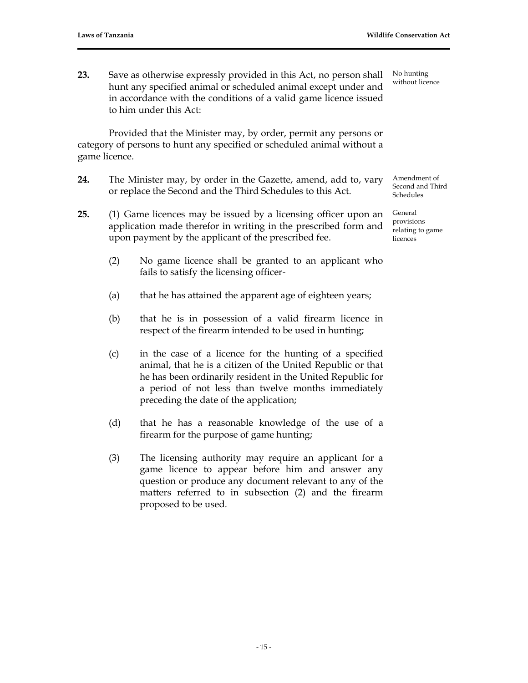**23.** Save as otherwise expressly provided in this Act, no person shall hunt any specified animal or scheduled animal except under and in accordance with the conditions of a valid game licence issued to him under this Act:

Provided that the Minister may, by order, permit any persons or category of persons to hunt any specified or scheduled animal without a game licence.

- **24.** The Minister may, by order in the Gazette, amend, add to, vary or replace the Second and the Third Schedules to this Act.
- **25.** (1) Game licences may be issued by a licensing officer upon an application made therefor in writing in the prescribed form and upon payment by the applicant of the prescribed fee.
	- (2) No game licence shall be granted to an applicant who fails to satisfy the licensing officer-
	- (a) that he has attained the apparent age of eighteen years;
	- (b) that he is in possession of a valid firearm licence in respect of the firearm intended to be used in hunting;
	- (c) in the case of a licence for the hunting of a specified animal, that he is a citizen of the United Republic or that he has been ordinarily resident in the United Republic for a period of not less than twelve months immediately preceding the date of the application;
	- (d) that he has a reasonable knowledge of the use of a firearm for the purpose of game hunting;
	- (3) The licensing authority may require an applicant for a game licence to appear before him and answer any question or produce any document relevant to any of the matters referred to in subsection (2) and the firearm proposed to be used.

No hunting without licence

Amendment of Second and Third Schedules

General provisions relating to game licences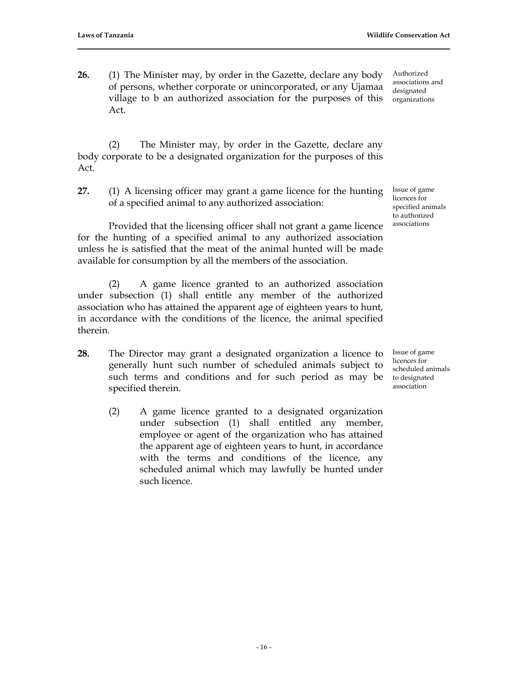**26.** (1) The Minister may, by order in the Gazette, declare any body of persons, whether corporate or unincorporated, or any Ujamaa village to b an authorized association for the purposes of this Act.

Authorized associations and designated organizations

(2) The Minister may, by order in the Gazette, declare any body corporate to be a designated organization for the purposes of this Act.

**27.** (1) A licensing officer may grant a game licence for the hunting of a specified animal to any authorized association:

Provided that the licensing officer shall not grant a game licence for the hunting of a specified animal to any authorized association unless he is satisfied that the meat of the animal hunted will be made available for consumption by all the members of the association.

(2) A game licence granted to an authorized association under subsection (1) shall entitle any member of the authorized association who has attained the apparent age of eighteen years to hunt, in accordance with the conditions of the licence, the animal specified therein.

- **28.** The Director may grant a designated organization a licence to generally hunt such number of scheduled animals subject to such terms and conditions and for such period as may be specified therein.
	- (2) A game licence granted to a designated organization under subsection (1) shall entitled any member, employee or agent of the organization who has attained the apparent age of eighteen years to hunt, in accordance with the terms and conditions of the licence, any scheduled animal which may lawfully be hunted under such licence.

Issue of game licences for specified animals to authorized associations

Issue of game licences for scheduled animals to designated association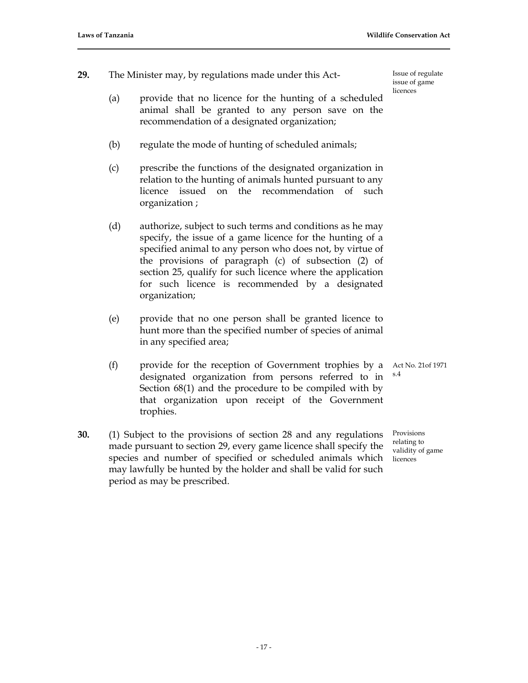**29.** The Minister may, by regulations made under this Act-

Issue of regulate issue of game licences

- (a) provide that no licence for the hunting of a scheduled animal shall be granted to any person save on the recommendation of a designated organization;
- (b) regulate the mode of hunting of scheduled animals;
- (c) prescribe the functions of the designated organization in relation to the hunting of animals hunted pursuant to any licence issued on the recommendation of such organization ;
- (d) authorize, subject to such terms and conditions as he may specify, the issue of a game licence for the hunting of a specified animal to any person who does not, by virtue of the provisions of paragraph (c) of subsection (2) of section 25, qualify for such licence where the application for such licence is recommended by a designated organization;
- (e) provide that no one person shall be granted licence to hunt more than the specified number of species of animal in any specified area;
- (f) provide for the reception of Government trophies by a designated organization from persons referred to in Section 68(1) and the procedure to be compiled with by that organization upon receipt of the Government trophies.
- **30.** (1) Subject to the provisions of section 28 and any regulations made pursuant to section 29, every game licence shall specify the species and number of specified or scheduled animals which may lawfully be hunted by the holder and shall be valid for such period as may be prescribed.

Act No. 21of 1971 s.4

Provisions relating to validity of game licences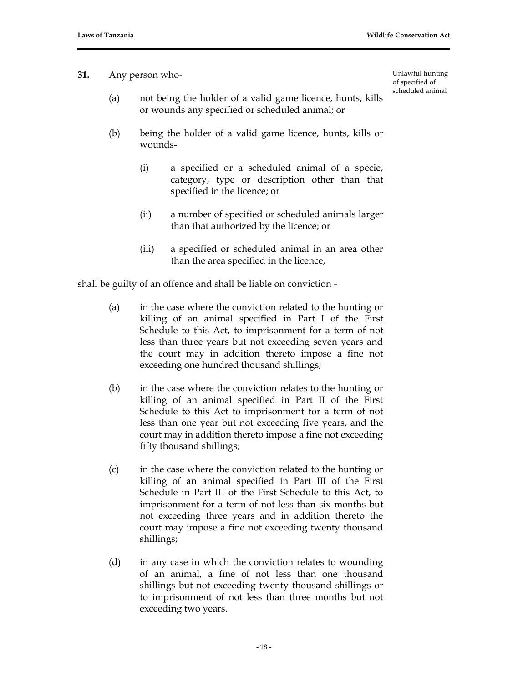Unlawful hunting of specified of scheduled animal

**31.** Any person who-

- (a) not being the holder of a valid game licence, hunts, kills or wounds any specified or scheduled animal; or
- (b) being the holder of a valid game licence, hunts, kills or wounds-
	- (i) a specified or a scheduled animal of a specie, category, type or description other than that specified in the licence; or
	- (ii) a number of specified or scheduled animals larger than that authorized by the licence; or
	- (iii) a specified or scheduled animal in an area other than the area specified in the licence,

shall be guilty of an offence and shall be liable on conviction -

- (a) in the case where the conviction related to the hunting or killing of an animal specified in Part I of the First Schedule to this Act, to imprisonment for a term of not less than three years but not exceeding seven years and the court may in addition thereto impose a fine not exceeding one hundred thousand shillings;
- (b) in the case where the conviction relates to the hunting or killing of an animal specified in Part II of the First Schedule to this Act to imprisonment for a term of not less than one year but not exceeding five years, and the court may in addition thereto impose a fine not exceeding fifty thousand shillings;
- (c) in the case where the conviction related to the hunting or killing of an animal specified in Part III of the First Schedule in Part III of the First Schedule to this Act, to imprisonment for a term of not less than six months but not exceeding three years and in addition thereto the court may impose a fine not exceeding twenty thousand shillings;
- (d) in any case in which the conviction relates to wounding of an animal, a fine of not less than one thousand shillings but not exceeding twenty thousand shillings or to imprisonment of not less than three months but not exceeding two years.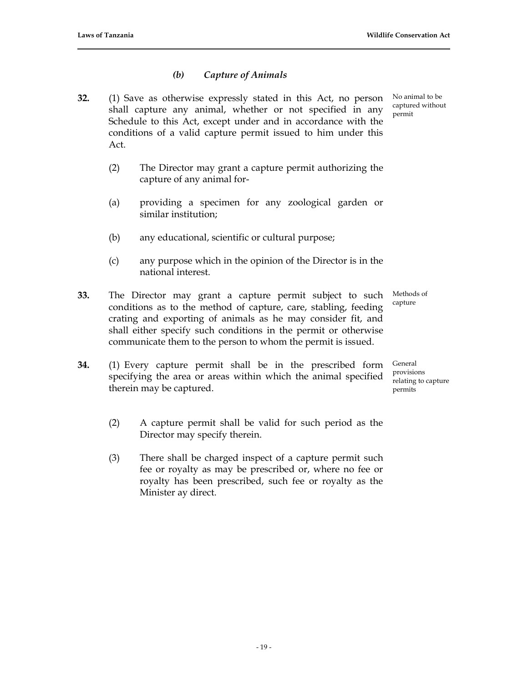# *(b) Capture of Animals*

- **32.** (1) Save as otherwise expressly stated in this Act, no person shall capture any animal, whether or not specified in any Schedule to this Act, except under and in accordance with the conditions of a valid capture permit issued to him under this Act.
	- (2) The Director may grant a capture permit authorizing the capture of any animal for-
	- (a) providing a specimen for any zoological garden or similar institution;
	- (b) any educational, scientific or cultural purpose;
	- (c) any purpose which in the opinion of the Director is in the national interest.
- **33.** The Director may grant a capture permit subject to such conditions as to the method of capture, care, stabling, feeding crating and exporting of animals as he may consider fit, and shall either specify such conditions in the permit or otherwise communicate them to the person to whom the permit is issued.
- **34.** (1) Every capture permit shall be in the prescribed form specifying the area or areas within which the animal specified therein may be captured.
	- (2) A capture permit shall be valid for such period as the Director may specify therein.
	- (3) There shall be charged inspect of a capture permit such fee or royalty as may be prescribed or, where no fee or royalty has been prescribed, such fee or royalty as the Minister ay direct.

No animal to be captured without permit

Methods of capture

General provisions relating to capture permits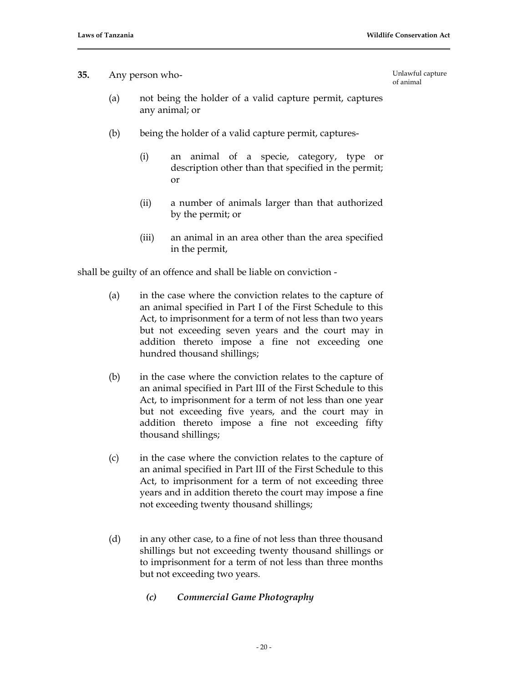### **35.** Any person who-

Unlawful capture of animal

- (a) not being the holder of a valid capture permit, captures any animal; or
- (b) being the holder of a valid capture permit, captures-
	- (i) an animal of a specie, category, type or description other than that specified in the permit; or
	- (ii) a number of animals larger than that authorized by the permit; or
	- (iii) an animal in an area other than the area specified in the permit,

shall be guilty of an offence and shall be liable on conviction -

- (a) in the case where the conviction relates to the capture of an animal specified in Part I of the First Schedule to this Act, to imprisonment for a term of not less than two years but not exceeding seven years and the court may in addition thereto impose a fine not exceeding one hundred thousand shillings;
- (b) in the case where the conviction relates to the capture of an animal specified in Part III of the First Schedule to this Act, to imprisonment for a term of not less than one year but not exceeding five years, and the court may in addition thereto impose a fine not exceeding fifty thousand shillings;
- (c) in the case where the conviction relates to the capture of an animal specified in Part III of the First Schedule to this Act, to imprisonment for a term of not exceeding three years and in addition thereto the court may impose a fine not exceeding twenty thousand shillings;
- (d) in any other case, to a fine of not less than three thousand shillings but not exceeding twenty thousand shillings or to imprisonment for a term of not less than three months but not exceeding two years.
	- *(c) Commercial Game Photography*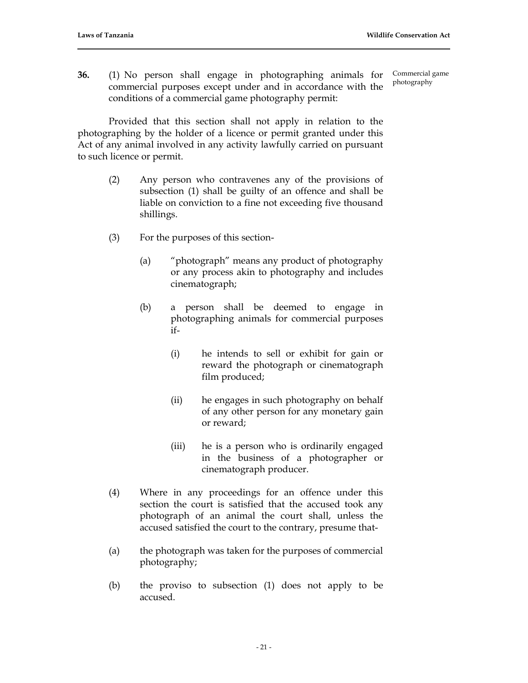**36.** (1) No person shall engage in photographing animals for commercial purposes except under and in accordance with the conditions of a commercial game photography permit: Commercial game photography

Provided that this section shall not apply in relation to the photographing by the holder of a licence or permit granted under this Act of any animal involved in any activity lawfully carried on pursuant to such licence or permit.

- (2) Any person who contravenes any of the provisions of subsection (1) shall be guilty of an offence and shall be liable on conviction to a fine not exceeding five thousand shillings.
- (3) For the purposes of this section-
	- (a) "photograph" means any product of photography or any process akin to photography and includes cinematograph;
	- (b) a person shall be deemed to engage in photographing animals for commercial purposes if-
		- (i) he intends to sell or exhibit for gain or reward the photograph or cinematograph film produced;
		- (ii) he engages in such photography on behalf of any other person for any monetary gain or reward;
		- (iii) he is a person who is ordinarily engaged in the business of a photographer or cinematograph producer.
- (4) Where in any proceedings for an offence under this section the court is satisfied that the accused took any photograph of an animal the court shall, unless the accused satisfied the court to the contrary, presume that-
- (a) the photograph was taken for the purposes of commercial photography;
- (b) the proviso to subsection (1) does not apply to be accused.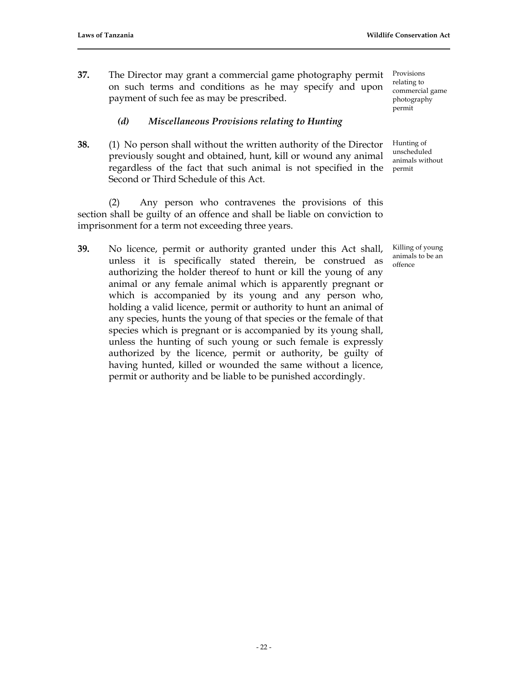**37.** The Director may grant a commercial game photography permit on such terms and conditions as he may specify and upon payment of such fee as may be prescribed.

# *(d) Miscellaneous Provisions relating to Hunting*

**38.** (1) No person shall without the written authority of the Director previously sought and obtained, hunt, kill or wound any animal regardless of the fact that such animal is not specified in the Second or Third Schedule of this Act.

(2) Any person who contravenes the provisions of this section shall be guilty of an offence and shall be liable on conviction to imprisonment for a term not exceeding three years.

**39.** No licence, permit or authority granted under this Act shall, unless it is specifically stated therein, be construed as authorizing the holder thereof to hunt or kill the young of any animal or any female animal which is apparently pregnant or which is accompanied by its young and any person who, holding a valid licence, permit or authority to hunt an animal of any species, hunts the young of that species or the female of that species which is pregnant or is accompanied by its young shall, unless the hunting of such young or such female is expressly authorized by the licence, permit or authority, be guilty of having hunted, killed or wounded the same without a licence, permit or authority and be liable to be punished accordingly.

Provisions relating to commercial game photography permit

Hunting of unscheduled animals without permit

Killing of young animals to be an offence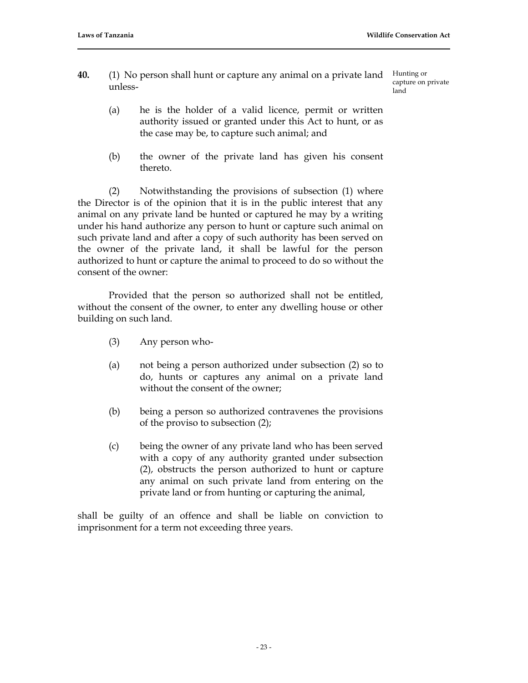**40.** (1) No person shall hunt or capture any animal on a private land unless-

Hunting or capture on private land

- (a) he is the holder of a valid licence, permit or written authority issued or granted under this Act to hunt, or as the case may be, to capture such animal; and
- (b) the owner of the private land has given his consent thereto.

(2) Notwithstanding the provisions of subsection (1) where the Director is of the opinion that it is in the public interest that any animal on any private land be hunted or captured he may by a writing under his hand authorize any person to hunt or capture such animal on such private land and after a copy of such authority has been served on the owner of the private land, it shall be lawful for the person authorized to hunt or capture the animal to proceed to do so without the consent of the owner:

Provided that the person so authorized shall not be entitled, without the consent of the owner, to enter any dwelling house or other building on such land.

- (3) Any person who-
- (a) not being a person authorized under subsection (2) so to do, hunts or captures any animal on a private land without the consent of the owner;
- (b) being a person so authorized contravenes the provisions of the proviso to subsection (2);
- (c) being the owner of any private land who has been served with a copy of any authority granted under subsection (2), obstructs the person authorized to hunt or capture any animal on such private land from entering on the private land or from hunting or capturing the animal,

shall be guilty of an offence and shall be liable on conviction to imprisonment for a term not exceeding three years.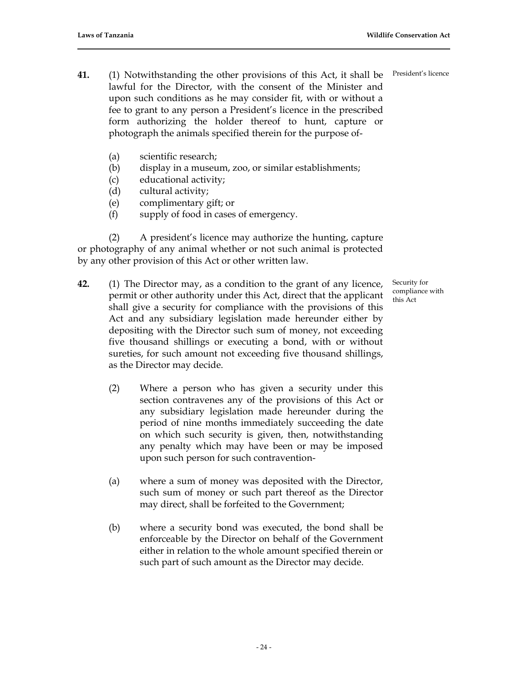- **41.** (1) Notwithstanding the other provisions of this Act, it shall be lawful for the Director, with the consent of the Minister and upon such conditions as he may consider fit, with or without a fee to grant to any person a President's licence in the prescribed form authorizing the holder thereof to hunt, capture or photograph the animals specified therein for the purpose of-
	- (a) scientific research;
	- (b) display in a museum, zoo, or similar establishments;
	- (c) educational activity;
	- (d) cultural activity;
	- (e) complimentary gift; or
	- (f) supply of food in cases of emergency.

(2) A president's licence may authorize the hunting, capture or photography of any animal whether or not such animal is protected by any other provision of this Act or other written law.

- **42.** (1) The Director may, as a condition to the grant of any licence, permit or other authority under this Act, direct that the applicant shall give a security for compliance with the provisions of this Act and any subsidiary legislation made hereunder either by depositing with the Director such sum of money, not exceeding five thousand shillings or executing a bond, with or without sureties, for such amount not exceeding five thousand shillings, as the Director may decide.
	- (2) Where a person who has given a security under this section contravenes any of the provisions of this Act or any subsidiary legislation made hereunder during the period of nine months immediately succeeding the date on which such security is given, then, notwithstanding any penalty which may have been or may be imposed upon such person for such contravention-
	- (a) where a sum of money was deposited with the Director, such sum of money or such part thereof as the Director may direct, shall be forfeited to the Government;
	- (b) where a security bond was executed, the bond shall be enforceable by the Director on behalf of the Government either in relation to the whole amount specified therein or such part of such amount as the Director may decide.

President's licence

Security for compliance with this Act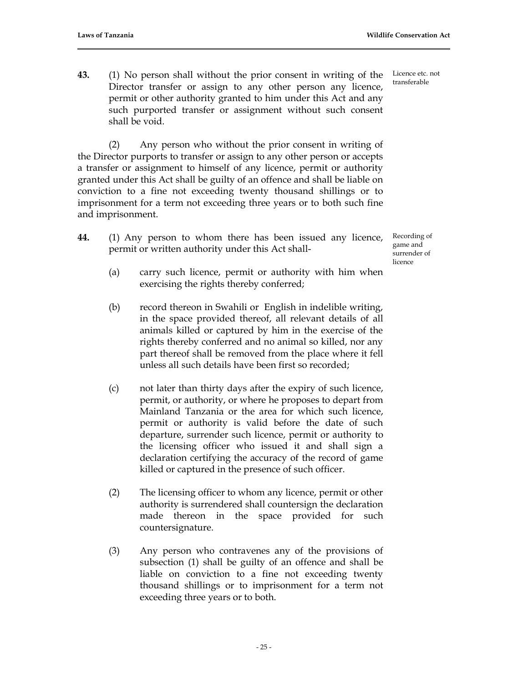**43.** (1) No person shall without the prior consent in writing of the Director transfer or assign to any other person any licence, permit or other authority granted to him under this Act and any such purported transfer or assignment without such consent shall be void.

(2) Any person who without the prior consent in writing of the Director purports to transfer or assign to any other person or accepts a transfer or assignment to himself of any licence, permit or authority granted under this Act shall be guilty of an offence and shall be liable on conviction to a fine not exceeding twenty thousand shillings or to imprisonment for a term not exceeding three years or to both such fine and imprisonment.

**44.** (1) Any person to whom there has been issued any licence, permit or written authority under this Act shall-

Recording of game and surrender of licence

- (a) carry such licence, permit or authority with him when exercising the rights thereby conferred;
- (b) record thereon in Swahili or English in indelible writing, in the space provided thereof, all relevant details of all animals killed or captured by him in the exercise of the rights thereby conferred and no animal so killed, nor any part thereof shall be removed from the place where it fell unless all such details have been first so recorded;
- (c) not later than thirty days after the expiry of such licence, permit, or authority, or where he proposes to depart from Mainland Tanzania or the area for which such licence, permit or authority is valid before the date of such departure, surrender such licence, permit or authority to the licensing officer who issued it and shall sign a declaration certifying the accuracy of the record of game killed or captured in the presence of such officer.
- (2) The licensing officer to whom any licence, permit or other authority is surrendered shall countersign the declaration made thereon in the space provided for such countersignature.
- (3) Any person who contravenes any of the provisions of subsection (1) shall be guilty of an offence and shall be liable on conviction to a fine not exceeding twenty thousand shillings or to imprisonment for a term not exceeding three years or to both.

Licence etc. not transferable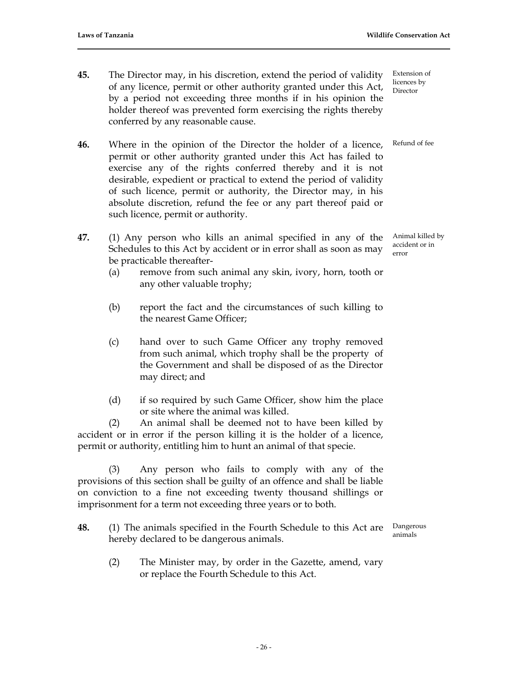- **45.** The Director may, in his discretion, extend the period of validity of any licence, permit or other authority granted under this Act, by a period not exceeding three months if in his opinion the holder thereof was prevented form exercising the rights thereby conferred by any reasonable cause.
- **46.** Where in the opinion of the Director the holder of a licence, permit or other authority granted under this Act has failed to exercise any of the rights conferred thereby and it is not desirable, expedient or practical to extend the period of validity of such licence, permit or authority, the Director may, in his absolute discretion, refund the fee or any part thereof paid or such licence, permit or authority.
- **47.** (1) Any person who kills an animal specified in any of the Schedules to this Act by accident or in error shall as soon as may be practicable thereafter-
	- (a) remove from such animal any skin, ivory, horn, tooth or any other valuable trophy;
	- (b) report the fact and the circumstances of such killing to the nearest Game Officer;
	- (c) hand over to such Game Officer any trophy removed from such animal, which trophy shall be the property of the Government and shall be disposed of as the Director may direct; and
	- (d) if so required by such Game Officer, show him the place or site where the animal was killed.

(2) An animal shall be deemed not to have been killed by accident or in error if the person killing it is the holder of a licence, permit or authority, entitling him to hunt an animal of that specie.

(3) Any person who fails to comply with any of the provisions of this section shall be guilty of an offence and shall be liable on conviction to a fine not exceeding twenty thousand shillings or imprisonment for a term not exceeding three years or to both.

- **48.** (1) The animals specified in the Fourth Schedule to this Act are hereby declared to be dangerous animals. Dangerous animals
	- (2) The Minister may, by order in the Gazette, amend, vary or replace the Fourth Schedule to this Act.

Extension of licences by Director

Refund of fee

Animal killed by accident or in error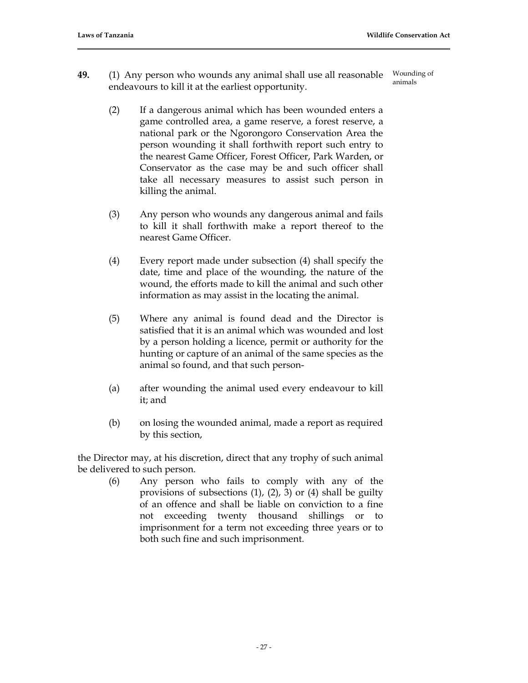- **49.** (1) Any person who wounds any animal shall use all reasonable endeavours to kill it at the earliest opportunity. Wounding of animals
	- (2) If a dangerous animal which has been wounded enters a game controlled area, a game reserve, a forest reserve, a national park or the Ngorongoro Conservation Area the person wounding it shall forthwith report such entry to the nearest Game Officer, Forest Officer, Park Warden, or Conservator as the case may be and such officer shall take all necessary measures to assist such person in killing the animal.
	- (3) Any person who wounds any dangerous animal and fails to kill it shall forthwith make a report thereof to the nearest Game Officer.
	- (4) Every report made under subsection (4) shall specify the date, time and place of the wounding, the nature of the wound, the efforts made to kill the animal and such other information as may assist in the locating the animal.
	- (5) Where any animal is found dead and the Director is satisfied that it is an animal which was wounded and lost by a person holding a licence, permit or authority for the hunting or capture of an animal of the same species as the animal so found, and that such person-
	- (a) after wounding the animal used every endeavour to kill it; and
	- (b) on losing the wounded animal, made a report as required by this section,

the Director may, at his discretion, direct that any trophy of such animal be delivered to such person.

> (6) Any person who fails to comply with any of the provisions of subsections (1), (2), 3) or (4) shall be guilty of an offence and shall be liable on conviction to a fine not exceeding twenty thousand shillings or to imprisonment for a term not exceeding three years or to both such fine and such imprisonment.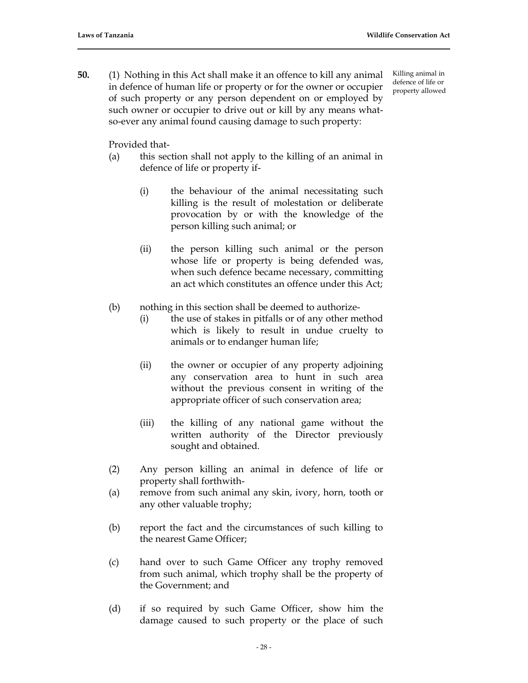**50.** (1) Nothing in this Act shall make it an offence to kill any animal in defence of human life or property or for the owner or occupier of such property or any person dependent on or employed by such owner or occupier to drive out or kill by any means whatso-ever any animal found causing damage to such property:

Killing animal in defence of life or property allowed

Provided that-

- (a) this section shall not apply to the killing of an animal in defence of life or property if-
	- (i) the behaviour of the animal necessitating such killing is the result of molestation or deliberate provocation by or with the knowledge of the person killing such animal; or
	- (ii) the person killing such animal or the person whose life or property is being defended was, when such defence became necessary, committing an act which constitutes an offence under this Act;
- (b) nothing in this section shall be deemed to authorize-
	- (i) the use of stakes in pitfalls or of any other method which is likely to result in undue cruelty to animals or to endanger human life;
	- (ii) the owner or occupier of any property adjoining any conservation area to hunt in such area without the previous consent in writing of the appropriate officer of such conservation area;
	- (iii) the killing of any national game without the written authority of the Director previously sought and obtained.
- (2) Any person killing an animal in defence of life or property shall forthwith-
- (a) remove from such animal any skin, ivory, horn, tooth or any other valuable trophy;
- (b) report the fact and the circumstances of such killing to the nearest Game Officer;
- (c) hand over to such Game Officer any trophy removed from such animal, which trophy shall be the property of the Government; and
- (d) if so required by such Game Officer, show him the damage caused to such property or the place of such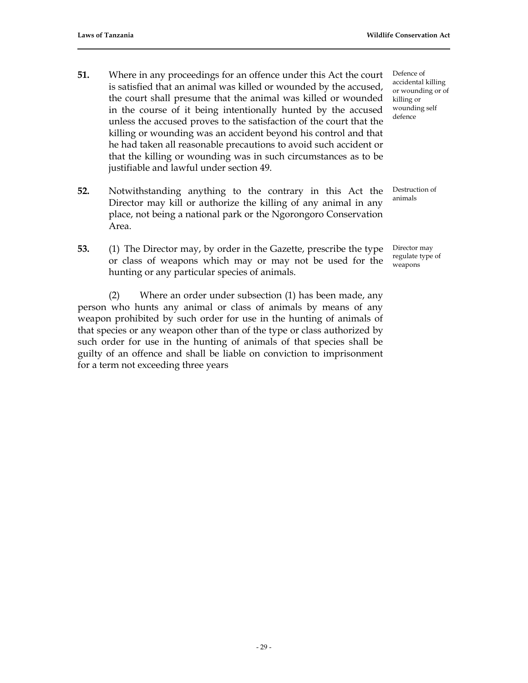- **51.** Where in any proceedings for an offence under this Act the court is satisfied that an animal was killed or wounded by the accused, the court shall presume that the animal was killed or wounded in the course of it being intentionally hunted by the accused unless the accused proves to the satisfaction of the court that the killing or wounding was an accident beyond his control and that he had taken all reasonable precautions to avoid such accident or that the killing or wounding was in such circumstances as to be justifiable and lawful under section 49.
- **52.** Notwithstanding anything to the contrary in this Act the Director may kill or authorize the killing of any animal in any place, not being a national park or the Ngorongoro Conservation Area.
- **53.** (1) The Director may, by order in the Gazette, prescribe the type or class of weapons which may or may not be used for the hunting or any particular species of animals.

(2) Where an order under subsection (1) has been made, any person who hunts any animal or class of animals by means of any weapon prohibited by such order for use in the hunting of animals of that species or any weapon other than of the type or class authorized by such order for use in the hunting of animals of that species shall be guilty of an offence and shall be liable on conviction to imprisonment for a term not exceeding three years

Defence of accidental killing or wounding or of killing or wounding self defence

Destruction of animals

Director may regulate type of weapons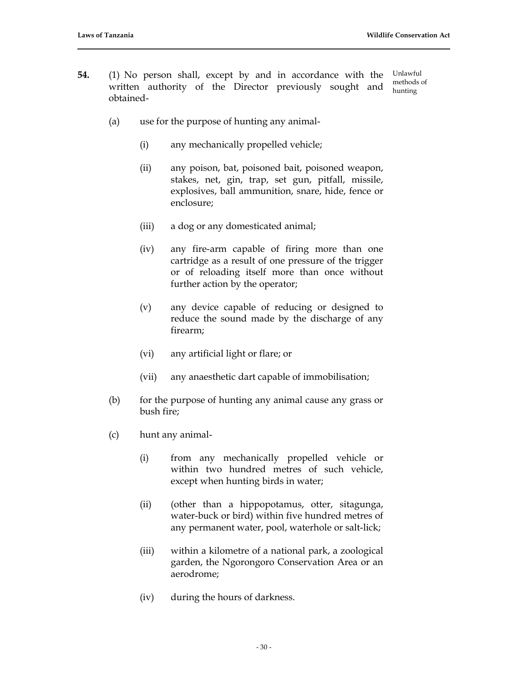- **54.** (1) No person shall, except by and in accordance with the written authority of the Director previously sought and obtained- Unlawful methods of hunting
	- (a) use for the purpose of hunting any animal-
		- (i) any mechanically propelled vehicle;
		- (ii) any poison, bat, poisoned bait, poisoned weapon, stakes, net, gin, trap, set gun, pitfall, missile, explosives, ball ammunition, snare, hide, fence or enclosure;
		- (iii) a dog or any domesticated animal;
		- (iv) any fire-arm capable of firing more than one cartridge as a result of one pressure of the trigger or of reloading itself more than once without further action by the operator;
		- (v) any device capable of reducing or designed to reduce the sound made by the discharge of any firearm;
		- (vi) any artificial light or flare; or
		- (vii) any anaesthetic dart capable of immobilisation;
	- (b) for the purpose of hunting any animal cause any grass or bush fire;
	- (c) hunt any animal-
		- (i) from any mechanically propelled vehicle or within two hundred metres of such vehicle, except when hunting birds in water;
		- (ii) (other than a hippopotamus, otter, sitagunga, water-buck or bird) within five hundred metres of any permanent water, pool, waterhole or salt-lick;
		- (iii) within a kilometre of a national park, a zoological garden, the Ngorongoro Conservation Area or an aerodrome;
		- (iv) during the hours of darkness.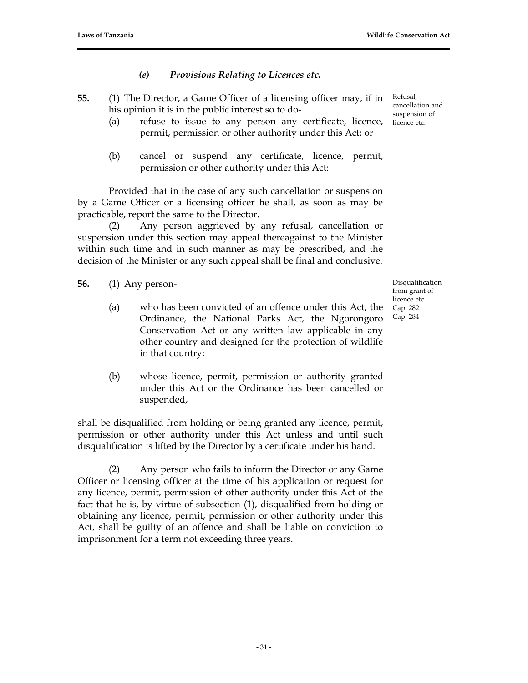# *(e) Provisions Relating to Licences etc.*

- **55.** (1) The Director, a Game Officer of a licensing officer may, if in his opinion it is in the public interest so to do-
	- (a) refuse to issue to any person any certificate, licence, permit, permission or other authority under this Act; or
	- (b) cancel or suspend any certificate, licence, permit, permission or other authority under this Act:

Provided that in the case of any such cancellation or suspension by a Game Officer or a licensing officer he shall, as soon as may be practicable, report the same to the Director.

(2) Any person aggrieved by any refusal, cancellation or suspension under this section may appeal thereagainst to the Minister within such time and in such manner as may be prescribed, and the decision of the Minister or any such appeal shall be final and conclusive.

- **56.** (1) Any person-
	- (a) who has been convicted of an offence under this Act, the Ordinance, the National Parks Act, the Ngorongoro Conservation Act or any written law applicable in any other country and designed for the protection of wildlife in that country;
	- (b) whose licence, permit, permission or authority granted under this Act or the Ordinance has been cancelled or suspended,

shall be disqualified from holding or being granted any licence, permit, permission or other authority under this Act unless and until such disqualification is lifted by the Director by a certificate under his hand.

(2) Any person who fails to inform the Director or any Game Officer or licensing officer at the time of his application or request for any licence, permit, permission of other authority under this Act of the fact that he is, by virtue of subsection (1), disqualified from holding or obtaining any licence, permit, permission or other authority under this Act, shall be guilty of an offence and shall be liable on conviction to imprisonment for a term not exceeding three years.

Refusal, cancellation and suspension of licence etc.

Disqualification from grant of licence etc. Cap. 282 Cap. 284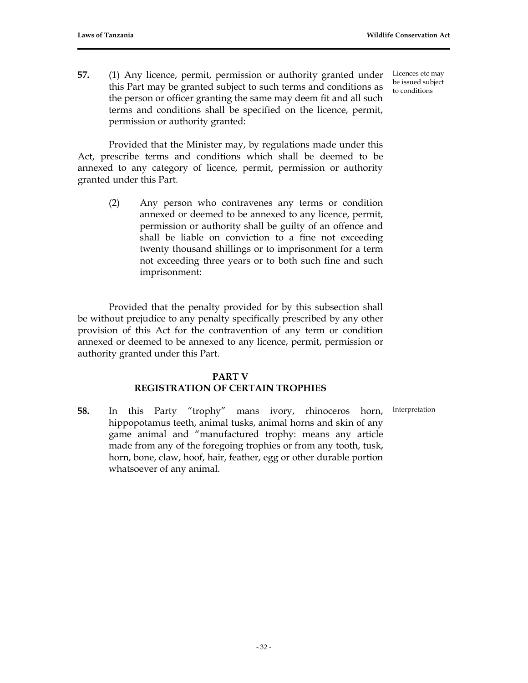**57.** (1) Any licence, permit, permission or authority granted under this Part may be granted subject to such terms and conditions as the person or officer granting the same may deem fit and all such terms and conditions shall be specified on the licence, permit, permission or authority granted:

Provided that the Minister may, by regulations made under this Act, prescribe terms and conditions which shall be deemed to be annexed to any category of licence, permit, permission or authority granted under this Part.

> (2) Any person who contravenes any terms or condition annexed or deemed to be annexed to any licence, permit, permission or authority shall be guilty of an offence and shall be liable on conviction to a fine not exceeding twenty thousand shillings or to imprisonment for a term not exceeding three years or to both such fine and such imprisonment:

Provided that the penalty provided for by this subsection shall be without prejudice to any penalty specifically prescribed by any other provision of this Act for the contravention of any term or condition annexed or deemed to be annexed to any licence, permit, permission or authority granted under this Part.

# **PART V REGISTRATION OF CERTAIN TROPHIES**

Interpretation

**58.** In this Party "trophy" mans ivory, rhinoceros horn, hippopotamus teeth, animal tusks, animal horns and skin of any game animal and "manufactured trophy: means any article made from any of the foregoing trophies or from any tooth, tusk, horn, bone, claw, hoof, hair, feather, egg or other durable portion whatsoever of any animal.

Licences etc may be issued subject to conditions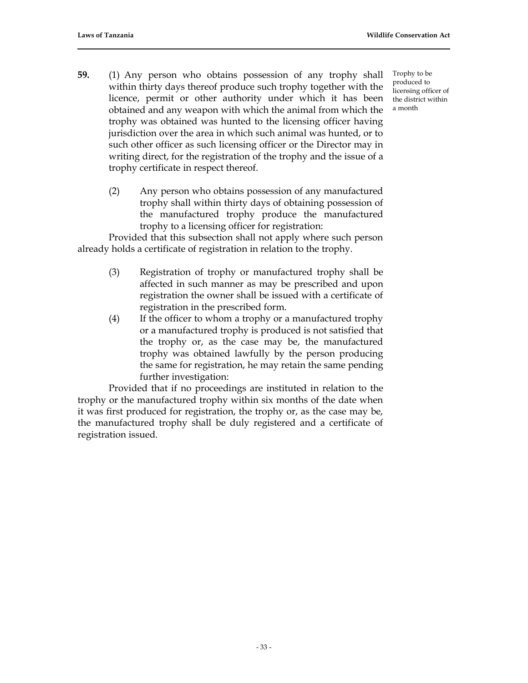- **59.** (1) Any person who obtains possession of any trophy shall within thirty days thereof produce such trophy together with the licence, permit or other authority under which it has been obtained and any weapon with which the animal from which the trophy was obtained was hunted to the licensing officer having jurisdiction over the area in which such animal was hunted, or to such other officer as such licensing officer or the Director may in writing direct, for the registration of the trophy and the issue of a trophy certificate in respect thereof.
	- (2) Any person who obtains possession of any manufactured trophy shall within thirty days of obtaining possession of the manufactured trophy produce the manufactured trophy to a licensing officer for registration:

Provided that this subsection shall not apply where such person already holds a certificate of registration in relation to the trophy.

- (3) Registration of trophy or manufactured trophy shall be affected in such manner as may be prescribed and upon registration the owner shall be issued with a certificate of registration in the prescribed form.
- (4) If the officer to whom a trophy or a manufactured trophy or a manufactured trophy is produced is not satisfied that the trophy or, as the case may be, the manufactured trophy was obtained lawfully by the person producing the same for registration, he may retain the same pending further investigation:

Provided that if no proceedings are instituted in relation to the trophy or the manufactured trophy within six months of the date when it was first produced for registration, the trophy or, as the case may be, the manufactured trophy shall be duly registered and a certificate of registration issued.

Trophy to be produced to licensing officer of the district within a month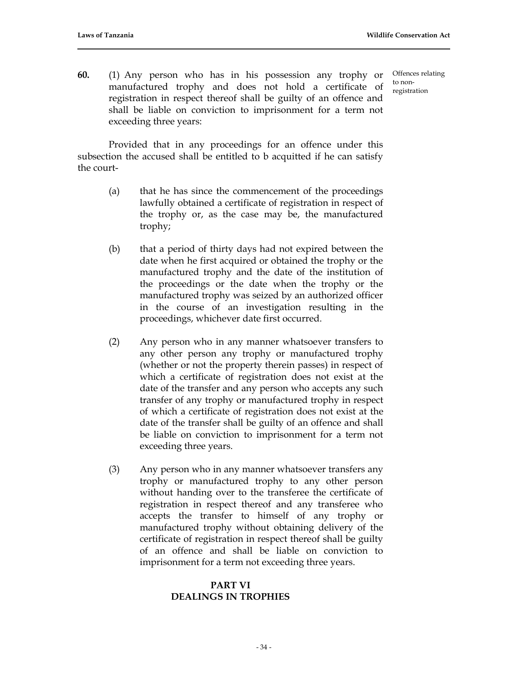to nonregistration

Offences relating

**60.** (1) Any person who has in his possession any trophy or manufactured trophy and does not hold a certificate of registration in respect thereof shall be guilty of an offence and shall be liable on conviction to imprisonment for a term not exceeding three years:

Provided that in any proceedings for an offence under this subsection the accused shall be entitled to b acquitted if he can satisfy the court-

- (a) that he has since the commencement of the proceedings lawfully obtained a certificate of registration in respect of the trophy or, as the case may be, the manufactured trophy;
- (b) that a period of thirty days had not expired between the date when he first acquired or obtained the trophy or the manufactured trophy and the date of the institution of the proceedings or the date when the trophy or the manufactured trophy was seized by an authorized officer in the course of an investigation resulting in the proceedings, whichever date first occurred.
- (2) Any person who in any manner whatsoever transfers to any other person any trophy or manufactured trophy (whether or not the property therein passes) in respect of which a certificate of registration does not exist at the date of the transfer and any person who accepts any such transfer of any trophy or manufactured trophy in respect of which a certificate of registration does not exist at the date of the transfer shall be guilty of an offence and shall be liable on conviction to imprisonment for a term not exceeding three years.
- (3) Any person who in any manner whatsoever transfers any trophy or manufactured trophy to any other person without handing over to the transferee the certificate of registration in respect thereof and any transferee who accepts the transfer to himself of any trophy or manufactured trophy without obtaining delivery of the certificate of registration in respect thereof shall be guilty of an offence and shall be liable on conviction to imprisonment for a term not exceeding three years.

# **PART VI DEALINGS IN TROPHIES**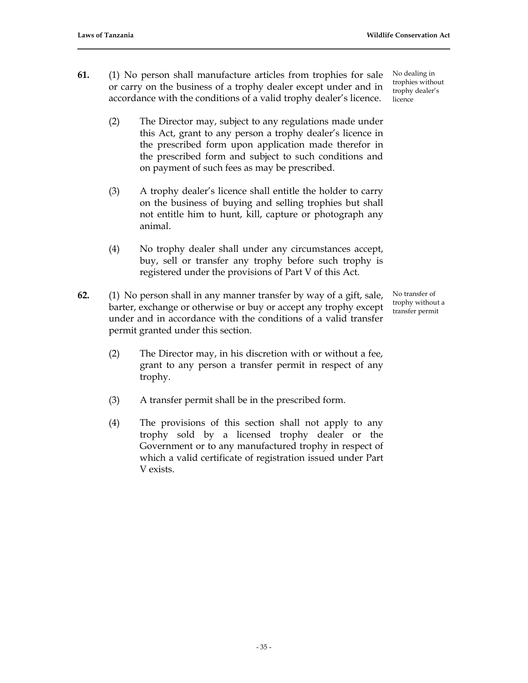- **61.** (1) No person shall manufacture articles from trophies for sale or carry on the business of a trophy dealer except under and in accordance with the conditions of a valid trophy dealer's licence.
	- (2) The Director may, subject to any regulations made under this Act, grant to any person a trophy dealer's licence in the prescribed form upon application made therefor in the prescribed form and subject to such conditions and on payment of such fees as may be prescribed.
	- (3) A trophy dealer's licence shall entitle the holder to carry on the business of buying and selling trophies but shall not entitle him to hunt, kill, capture or photograph any animal.
	- (4) No trophy dealer shall under any circumstances accept, buy, sell or transfer any trophy before such trophy is registered under the provisions of Part V of this Act.
- **62.** (1) No person shall in any manner transfer by way of a gift, sale, barter, exchange or otherwise or buy or accept any trophy except under and in accordance with the conditions of a valid transfer permit granted under this section.
	- (2) The Director may, in his discretion with or without a fee, grant to any person a transfer permit in respect of any trophy.
	- (3) A transfer permit shall be in the prescribed form.
	- (4) The provisions of this section shall not apply to any trophy sold by a licensed trophy dealer or the Government or to any manufactured trophy in respect of which a valid certificate of registration issued under Part V exists.

No dealing in trophies without trophy dealer's licence

No transfer of trophy without a transfer permit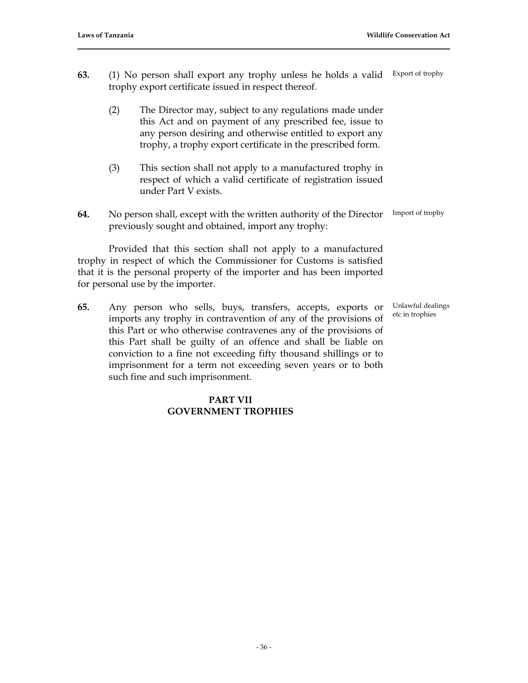- **63.** (1) No person shall export any trophy unless he holds a valid trophy export certificate issued in respect thereof. Export of trophy
	- (2) The Director may, subject to any regulations made under this Act and on payment of any prescribed fee, issue to any person desiring and otherwise entitled to export any trophy, a trophy export certificate in the prescribed form.
	- (3) This section shall not apply to a manufactured trophy in respect of which a valid certificate of registration issued under Part V exists.
- **64.** No person shall, except with the written authority of the Director previously sought and obtained, import any trophy: Import of trophy

Provided that this section shall not apply to a manufactured trophy in respect of which the Commissioner for Customs is satisfied that it is the personal property of the importer and has been imported for personal use by the importer.

**65.** Any person who sells, buys, transfers, accepts, exports or imports any trophy in contravention of any of the provisions of this Part or who otherwise contravenes any of the provisions of this Part shall be guilty of an offence and shall be liable on conviction to a fine not exceeding fifty thousand shillings or to imprisonment for a term not exceeding seven years or to both such fine and such imprisonment.

### **PART VII GOVERNMENT TROPHIES**

Unlawful dealings

etc in trophies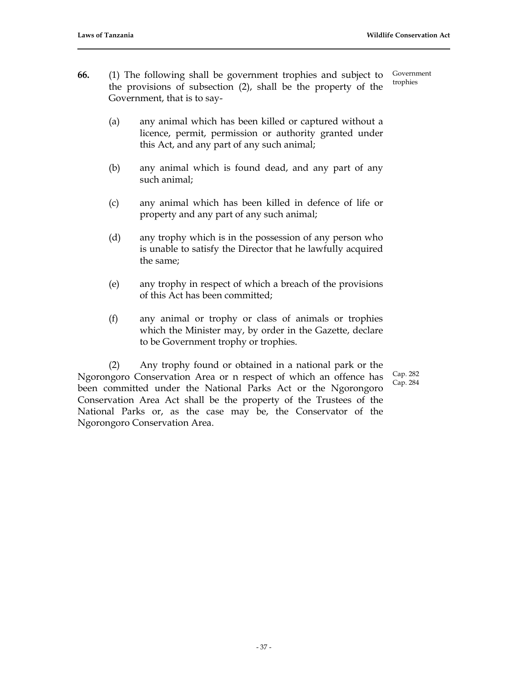- **66.** (1) The following shall be government trophies and subject to the provisions of subsection (2), shall be the property of the Government, that is to say- Government trophies
	- (a) any animal which has been killed or captured without a licence, permit, permission or authority granted under this Act, and any part of any such animal;
	- (b) any animal which is found dead, and any part of any such animal;
	- (c) any animal which has been killed in defence of life or property and any part of any such animal;
	- (d) any trophy which is in the possession of any person who is unable to satisfy the Director that he lawfully acquired the same;
	- (e) any trophy in respect of which a breach of the provisions of this Act has been committed;
	- (f) any animal or trophy or class of animals or trophies which the Minister may, by order in the Gazette, declare to be Government trophy or trophies.

(2) Any trophy found or obtained in a national park or the Ngorongoro Conservation Area or n respect of which an offence has been committed under the National Parks Act or the Ngorongoro Conservation Area Act shall be the property of the Trustees of the National Parks or, as the case may be, the Conservator of the Ngorongoro Conservation Area.

Cap. 282 Cap. 284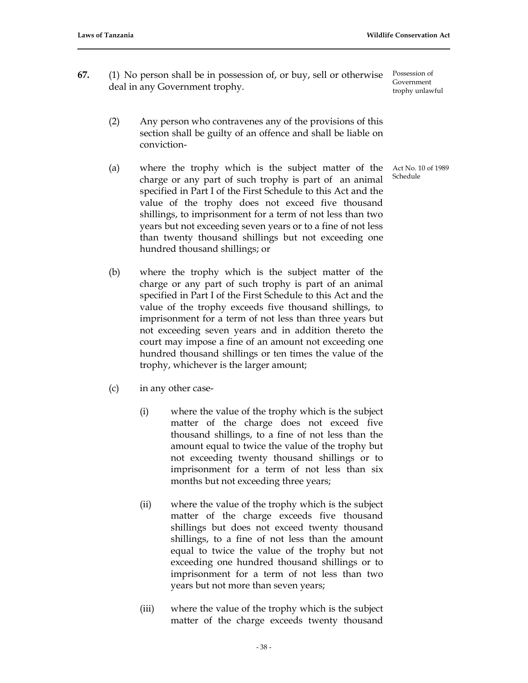- **67.** (1) No person shall be in possession of, or buy, sell or otherwise deal in any Government trophy.
	- (2) Any person who contravenes any of the provisions of this section shall be guilty of an offence and shall be liable on conviction-
	- (a) where the trophy which is the subject matter of the charge or any part of such trophy is part of an animal specified in Part I of the First Schedule to this Act and the value of the trophy does not exceed five thousand shillings, to imprisonment for a term of not less than two years but not exceeding seven years or to a fine of not less than twenty thousand shillings but not exceeding one hundred thousand shillings; or
	- (b) where the trophy which is the subject matter of the charge or any part of such trophy is part of an animal specified in Part I of the First Schedule to this Act and the value of the trophy exceeds five thousand shillings, to imprisonment for a term of not less than three years but not exceeding seven years and in addition thereto the court may impose a fine of an amount not exceeding one hundred thousand shillings or ten times the value of the trophy, whichever is the larger amount;
	- (c) in any other case-
		- (i) where the value of the trophy which is the subject matter of the charge does not exceed five thousand shillings, to a fine of not less than the amount equal to twice the value of the trophy but not exceeding twenty thousand shillings or to imprisonment for a term of not less than six months but not exceeding three years;
		- (ii) where the value of the trophy which is the subject matter of the charge exceeds five thousand shillings but does not exceed twenty thousand shillings, to a fine of not less than the amount equal to twice the value of the trophy but not exceeding one hundred thousand shillings or to imprisonment for a term of not less than two years but not more than seven years;
		- (iii) where the value of the trophy which is the subject matter of the charge exceeds twenty thousand

Act No. 10 of 1989 Schedule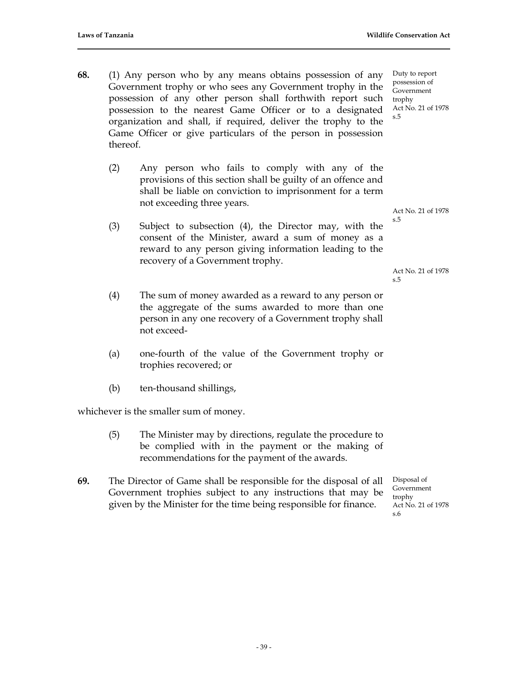- **68.** (1) Any person who by any means obtains possession of any Government trophy or who sees any Government trophy in the possession of any other person shall forthwith report such possession to the nearest Game Officer or to a designated organization and shall, if required, deliver the trophy to the Game Officer or give particulars of the person in possession thereof.
	- (2) Any person who fails to comply with any of the provisions of this section shall be guilty of an offence and shall be liable on conviction to imprisonment for a term not exceeding three years.
	- (3) Subject to subsection (4), the Director may, with the consent of the Minister, award a sum of money as a reward to any person giving information leading to the recovery of a Government trophy.
	- (4) The sum of money awarded as a reward to any person or the aggregate of the sums awarded to more than one person in any one recovery of a Government trophy shall not exceed-
	- (a) one-fourth of the value of the Government trophy or trophies recovered; or
	- (b) ten-thousand shillings,

whichever is the smaller sum of money.

- (5) The Minister may by directions, regulate the procedure to be complied with in the payment or the making of recommendations for the payment of the awards.
- **69.** The Director of Game shall be responsible for the disposal of all Government trophies subject to any instructions that may be given by the Minister for the time being responsible for finance.

Act No. 21 of 1978 s.5

Act No. 21 of 1978 s.5

Disposal of Government trophy Act No. 21 of 1978 s.6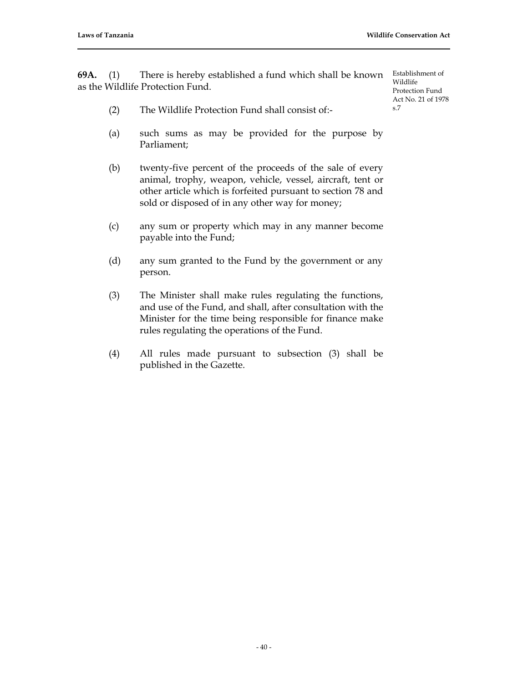**69A.** (1) There is hereby established a fund which shall be known Establishment of as the Wildlife Protection Fund.

Wildlife Protection Fund Act No. 21 of 1978 s.7

- (2) The Wildlife Protection Fund shall consist of:-
- (a) such sums as may be provided for the purpose by Parliament;
- (b) twenty-five percent of the proceeds of the sale of every animal, trophy, weapon, vehicle, vessel, aircraft, tent or other article which is forfeited pursuant to section 78 and sold or disposed of in any other way for money;
- (c) any sum or property which may in any manner become payable into the Fund;
- (d) any sum granted to the Fund by the government or any person.
- (3) The Minister shall make rules regulating the functions, and use of the Fund, and shall, after consultation with the Minister for the time being responsible for finance make rules regulating the operations of the Fund.
- (4) All rules made pursuant to subsection (3) shall be published in the Gazette.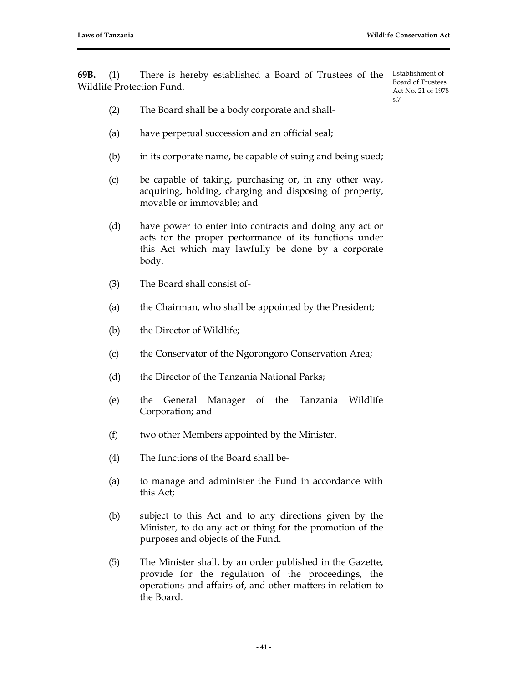**69B.** (1) There is hereby established a Board of Trustees of the Establishment of Wildlife Protection Fund.

Board of Trustees Act No. 21 of 1978 s.7

- (2) The Board shall be a body corporate and shall-
- (a) have perpetual succession and an official seal;
- (b) in its corporate name, be capable of suing and being sued;
- (c) be capable of taking, purchasing or, in any other way, acquiring, holding, charging and disposing of property, movable or immovable; and
- (d) have power to enter into contracts and doing any act or acts for the proper performance of its functions under this Act which may lawfully be done by a corporate body.
- (3) The Board shall consist of-
- (a) the Chairman, who shall be appointed by the President;
- (b) the Director of Wildlife;
- (c) the Conservator of the Ngorongoro Conservation Area;
- (d) the Director of the Tanzania National Parks;
- (e) the General Manager of the Tanzania Wildlife Corporation; and
- (f) two other Members appointed by the Minister.
- (4) The functions of the Board shall be-
- (a) to manage and administer the Fund in accordance with this Act;
- (b) subject to this Act and to any directions given by the Minister, to do any act or thing for the promotion of the purposes and objects of the Fund.
- (5) The Minister shall, by an order published in the Gazette, provide for the regulation of the proceedings, the operations and affairs of, and other matters in relation to the Board.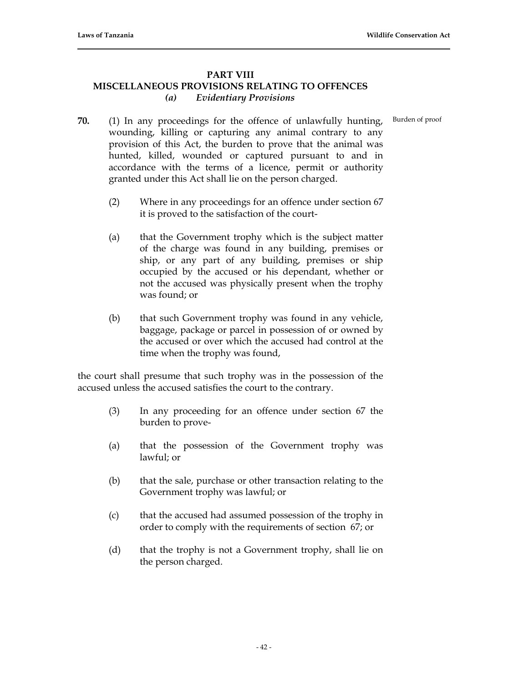# **PART VIII MISCELLANEOUS PROVISIONS RELATING TO OFFENCES** *(a) Evidentiary Provisions*

Burden of proof

- **70.** (1) In any proceedings for the offence of unlawfully hunting, wounding, killing or capturing any animal contrary to any provision of this Act, the burden to prove that the animal was hunted, killed, wounded or captured pursuant to and in accordance with the terms of a licence, permit or authority granted under this Act shall lie on the person charged.
	- (2) Where in any proceedings for an offence under section 67 it is proved to the satisfaction of the court-
	- (a) that the Government trophy which is the subject matter of the charge was found in any building, premises or ship, or any part of any building, premises or ship occupied by the accused or his dependant, whether or not the accused was physically present when the trophy was found; or
	- (b) that such Government trophy was found in any vehicle, baggage, package or parcel in possession of or owned by the accused or over which the accused had control at the time when the trophy was found,

the court shall presume that such trophy was in the possession of the accused unless the accused satisfies the court to the contrary.

- (3) In any proceeding for an offence under section 67 the burden to prove-
- (a) that the possession of the Government trophy was lawful; or
- (b) that the sale, purchase or other transaction relating to the Government trophy was lawful; or
- (c) that the accused had assumed possession of the trophy in order to comply with the requirements of section 67; or
- (d) that the trophy is not a Government trophy, shall lie on the person charged.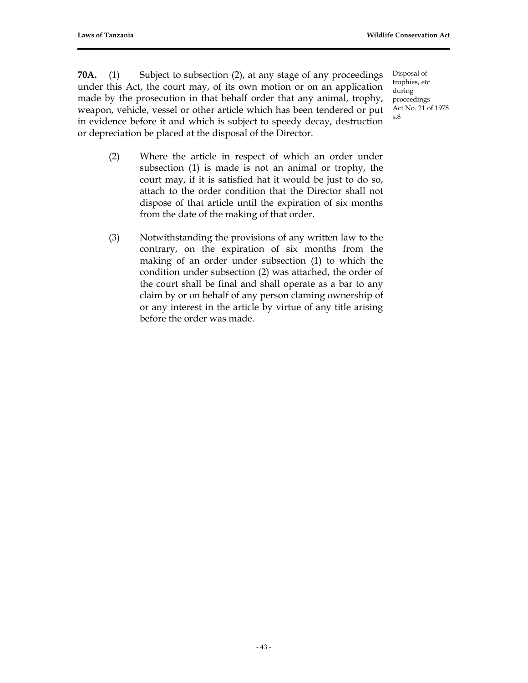**70A.** (1) Subject to subsection (2), at any stage of any proceedings under this Act, the court may, of its own motion or on an application made by the prosecution in that behalf order that any animal, trophy, weapon, vehicle, vessel or other article which has been tendered or put in evidence before it and which is subject to speedy decay, destruction or depreciation be placed at the disposal of the Director.

Disposal of trophies, etc during proceedings Act No. 21 of 1978 s.8

- (2) Where the article in respect of which an order under subsection (1) is made is not an animal or trophy, the court may, if it is satisfied hat it would be just to do so, attach to the order condition that the Director shall not dispose of that article until the expiration of six months from the date of the making of that order.
- (3) Notwithstanding the provisions of any written law to the contrary, on the expiration of six months from the making of an order under subsection (1) to which the condition under subsection (2) was attached, the order of the court shall be final and shall operate as a bar to any claim by or on behalf of any person claming ownership of or any interest in the article by virtue of any title arising before the order was made.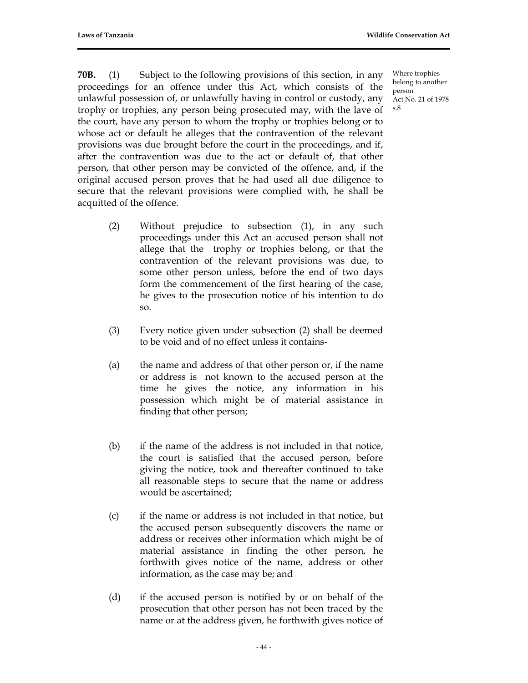**70B.** (1) Subject to the following provisions of this section, in any proceedings for an offence under this Act, which consists of the unlawful possession of, or unlawfully having in control or custody, any trophy or trophies, any person being prosecuted may, with the lave of the court, have any person to whom the trophy or trophies belong or to whose act or default he alleges that the contravention of the relevant provisions was due brought before the court in the proceedings, and if, after the contravention was due to the act or default of, that other person, that other person may be convicted of the offence, and, if the original accused person proves that he had used all due diligence to secure that the relevant provisions were complied with, he shall be acquitted of the offence.

- (2) Without prejudice to subsection (1), in any such proceedings under this Act an accused person shall not allege that the trophy or trophies belong, or that the contravention of the relevant provisions was due, to some other person unless, before the end of two days form the commencement of the first hearing of the case, he gives to the prosecution notice of his intention to do so.
- (3) Every notice given under subsection (2) shall be deemed to be void and of no effect unless it contains-
- (a) the name and address of that other person or, if the name or address is not known to the accused person at the time he gives the notice, any information in his possession which might be of material assistance in finding that other person;
- (b) if the name of the address is not included in that notice, the court is satisfied that the accused person, before giving the notice, took and thereafter continued to take all reasonable steps to secure that the name or address would be ascertained;
- (c) if the name or address is not included in that notice, but the accused person subsequently discovers the name or address or receives other information which might be of material assistance in finding the other person, he forthwith gives notice of the name, address or other information, as the case may be; and
- (d) if the accused person is notified by or on behalf of the prosecution that other person has not been traced by the name or at the address given, he forthwith gives notice of

Where trophies belong to another person Act No. 21 of 1978 s.8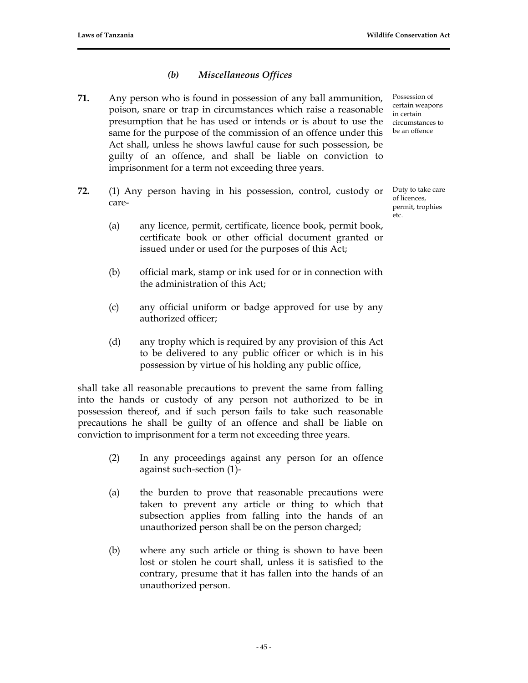# *(b) Miscellaneous Offices*

- **71.** Any person who is found in possession of any ball ammunition, poison, snare or trap in circumstances which raise a reasonable presumption that he has used or intends or is about to use the same for the purpose of the commission of an offence under this Act shall, unless he shows lawful cause for such possession, be guilty of an offence, and shall be liable on conviction to imprisonment for a term not exceeding three years.
- **72.** (1) Any person having in his possession, control, custody or care-
	- (a) any licence, permit, certificate, licence book, permit book, certificate book or other official document granted or issued under or used for the purposes of this Act;
	- (b) official mark, stamp or ink used for or in connection with the administration of this Act;
	- (c) any official uniform or badge approved for use by any authorized officer;
	- (d) any trophy which is required by any provision of this Act to be delivered to any public officer or which is in his possession by virtue of his holding any public office,

shall take all reasonable precautions to prevent the same from falling into the hands or custody of any person not authorized to be in possession thereof, and if such person fails to take such reasonable precautions he shall be guilty of an offence and shall be liable on conviction to imprisonment for a term not exceeding three years.

- (2) In any proceedings against any person for an offence against such-section (1)-
- (a) the burden to prove that reasonable precautions were taken to prevent any article or thing to which that subsection applies from falling into the hands of an unauthorized person shall be on the person charged;
- (b) where any such article or thing is shown to have been lost or stolen he court shall, unless it is satisfied to the contrary, presume that it has fallen into the hands of an unauthorized person.

Possession of certain weapons in certain circumstances to be an offence

Duty to take care of licences, permit, trophies etc.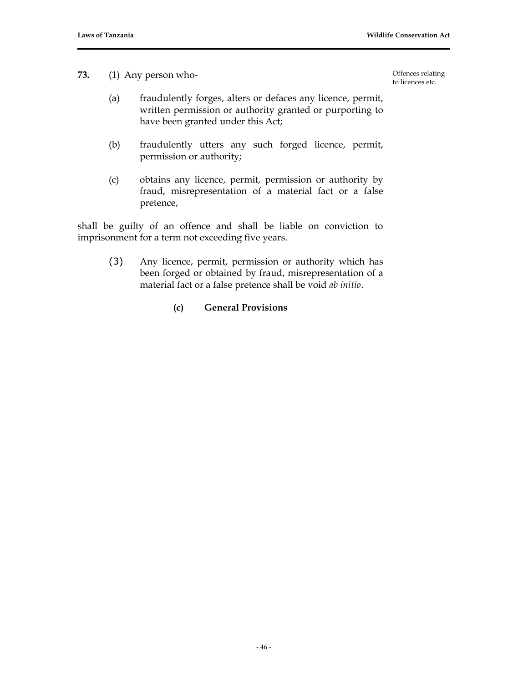**73.** (1) Any person who-

Offences relating to licences etc.

- (a) fraudulently forges, alters or defaces any licence, permit, written permission or authority granted or purporting to have been granted under this Act;
- (b) fraudulently utters any such forged licence, permit, permission or authority;
- (c) obtains any licence, permit, permission or authority by fraud, misrepresentation of a material fact or a false pretence,

shall be guilty of an offence and shall be liable on conviction to imprisonment for a term not exceeding five years.

(3) Any licence, permit, permission or authority which has been forged or obtained by fraud, misrepresentation of a material fact or a false pretence shall be void *ab initio*.

# **(c) General Provisions**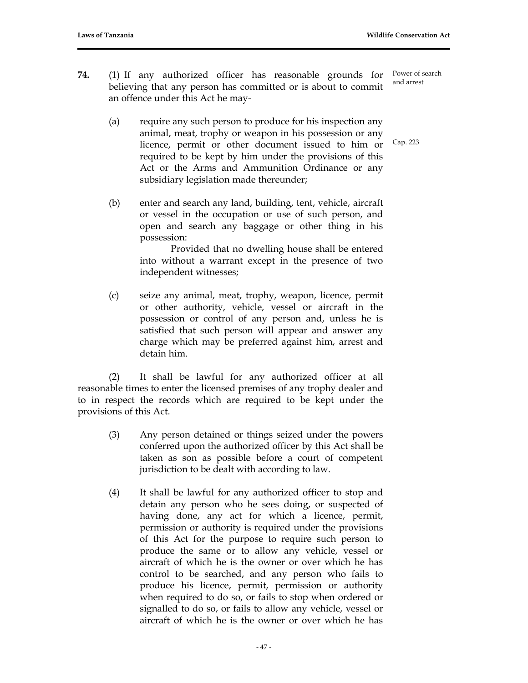Cap. 223

- **74.** (1) If any authorized officer has reasonable grounds for believing that any person has committed or is about to commit an offence under this Act he may- Power of search and arrest
	- (a) require any such person to produce for his inspection any animal, meat, trophy or weapon in his possession or any licence, permit or other document issued to him or required to be kept by him under the provisions of this Act or the Arms and Ammunition Ordinance or any subsidiary legislation made thereunder;
	- (b) enter and search any land, building, tent, vehicle, aircraft or vessel in the occupation or use of such person, and open and search any baggage or other thing in his possession:

Provided that no dwelling house shall be entered into without a warrant except in the presence of two independent witnesses;

(c) seize any animal, meat, trophy, weapon, licence, permit or other authority, vehicle, vessel or aircraft in the possession or control of any person and, unless he is satisfied that such person will appear and answer any charge which may be preferred against him, arrest and detain him.

(2) It shall be lawful for any authorized officer at all reasonable times to enter the licensed premises of any trophy dealer and to in respect the records which are required to be kept under the provisions of this Act.

- (3) Any person detained or things seized under the powers conferred upon the authorized officer by this Act shall be taken as son as possible before a court of competent jurisdiction to be dealt with according to law.
- (4) It shall be lawful for any authorized officer to stop and detain any person who he sees doing, or suspected of having done, any act for which a licence, permit, permission or authority is required under the provisions of this Act for the purpose to require such person to produce the same or to allow any vehicle, vessel or aircraft of which he is the owner or over which he has control to be searched, and any person who fails to produce his licence, permit, permission or authority when required to do so, or fails to stop when ordered or signalled to do so, or fails to allow any vehicle, vessel or aircraft of which he is the owner or over which he has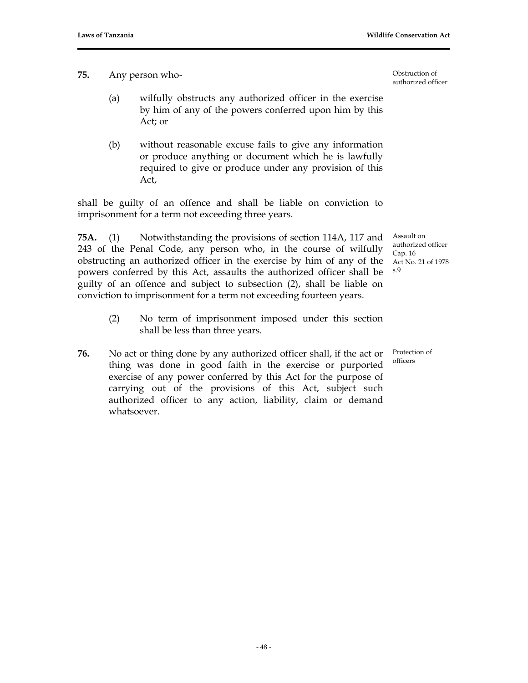**75.** Any person who-

- (a) wilfully obstructs any authorized officer in the exercise by him of any of the powers conferred upon him by this Act; or
- (b) without reasonable excuse fails to give any information or produce anything or document which he is lawfully required to give or produce under any provision of this Act,

shall be guilty of an offence and shall be liable on conviction to imprisonment for a term not exceeding three years.

**75A.** (1) Notwithstanding the provisions of section 114A, 117 and 243 of the Penal Code, any person who, in the course of wilfully obstructing an authorized officer in the exercise by him of any of the powers conferred by this Act, assaults the authorized officer shall be guilty of an offence and subject to subsection (2), shall be liable on conviction to imprisonment for a term not exceeding fourteen years.

- (2) No term of imprisonment imposed under this section shall be less than three years.
- Cap. 16 Act No. 21 of 1978 s.9

Assault on authorized officer

Protection of officers

**76.** No act or thing done by any authorized officer shall, if the act or thing was done in good faith in the exercise or purported exercise of any power conferred by this Act for the purpose of carrying out of the provisions of this Act, subject such authorized officer to any action, liability, claim or demand whatsoever.

Obstruction of authorized officer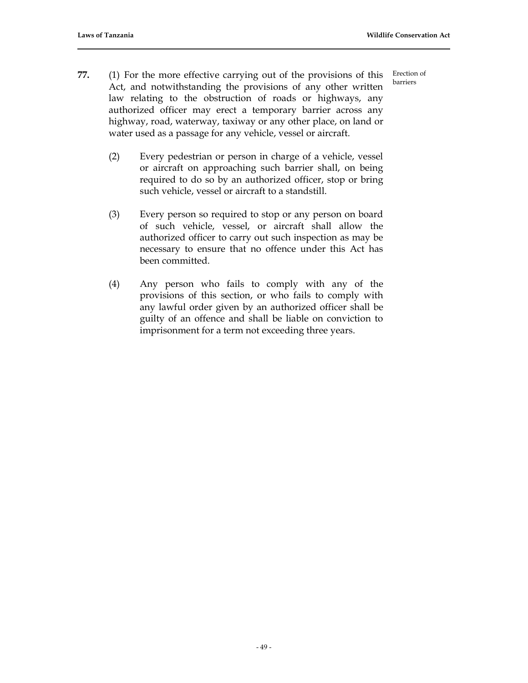Erection of barriers

- **77.** (1) For the more effective carrying out of the provisions of this Act, and notwithstanding the provisions of any other written law relating to the obstruction of roads or highways, any authorized officer may erect a temporary barrier across any highway, road, waterway, taxiway or any other place, on land or water used as a passage for any vehicle, vessel or aircraft.
	- (2) Every pedestrian or person in charge of a vehicle, vessel or aircraft on approaching such barrier shall, on being required to do so by an authorized officer, stop or bring such vehicle, vessel or aircraft to a standstill.
	- (3) Every person so required to stop or any person on board of such vehicle, vessel, or aircraft shall allow the authorized officer to carry out such inspection as may be necessary to ensure that no offence under this Act has been committed.
	- (4) Any person who fails to comply with any of the provisions of this section, or who fails to comply with any lawful order given by an authorized officer shall be guilty of an offence and shall be liable on conviction to imprisonment for a term not exceeding three years.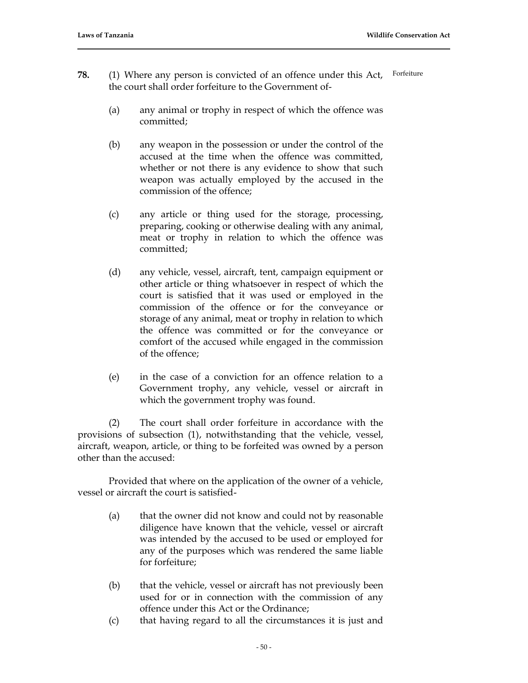- **78.** (1) Where any person is convicted of an offence under this Act, the court shall order forfeiture to the Government of- Forfeiture
	- (a) any animal or trophy in respect of which the offence was committed;
	- (b) any weapon in the possession or under the control of the accused at the time when the offence was committed, whether or not there is any evidence to show that such weapon was actually employed by the accused in the commission of the offence;
	- (c) any article or thing used for the storage, processing, preparing, cooking or otherwise dealing with any animal, meat or trophy in relation to which the offence was committed;
	- (d) any vehicle, vessel, aircraft, tent, campaign equipment or other article or thing whatsoever in respect of which the court is satisfied that it was used or employed in the commission of the offence or for the conveyance or storage of any animal, meat or trophy in relation to which the offence was committed or for the conveyance or comfort of the accused while engaged in the commission of the offence;
	- (e) in the case of a conviction for an offence relation to a Government trophy, any vehicle, vessel or aircraft in which the government trophy was found.

(2) The court shall order forfeiture in accordance with the provisions of subsection (1), notwithstanding that the vehicle, vessel, aircraft, weapon, article, or thing to be forfeited was owned by a person other than the accused:

Provided that where on the application of the owner of a vehicle, vessel or aircraft the court is satisfied-

- (a) that the owner did not know and could not by reasonable diligence have known that the vehicle, vessel or aircraft was intended by the accused to be used or employed for any of the purposes which was rendered the same liable for forfeiture;
- (b) that the vehicle, vessel or aircraft has not previously been used for or in connection with the commission of any offence under this Act or the Ordinance;
- (c) that having regard to all the circumstances it is just and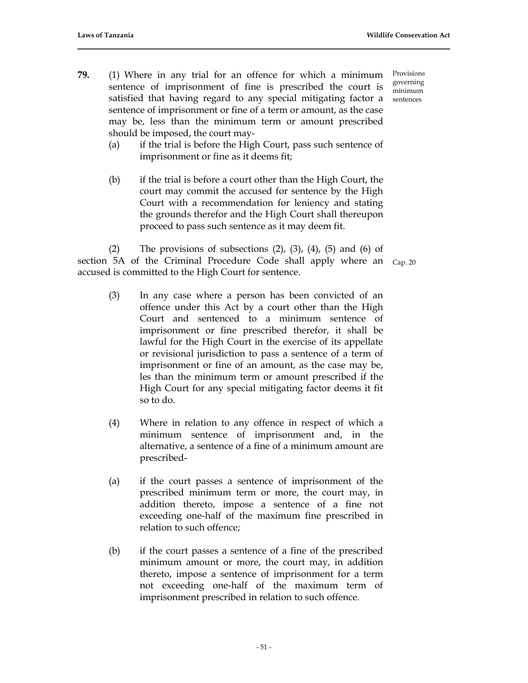- **79.** (1) Where in any trial for an offence for which a minimum sentence of imprisonment of fine is prescribed the court is satisfied that having regard to any special mitigating factor a sentence of imprisonment or fine of a term or amount, as the case may be, less than the minimum term or amount prescribed should be imposed, the court may-
	- (a) if the trial is before the High Court, pass such sentence of imprisonment or fine as it deems fit;
	- (b) if the trial is before a court other than the High Court, the court may commit the accused for sentence by the High Court with a recommendation for leniency and stating the grounds therefor and the High Court shall thereupon proceed to pass such sentence as it may deem fit.

(2) The provisions of subsections  $(2)$ ,  $(3)$ ,  $(4)$ ,  $(5)$  and  $(6)$  of section 5A of the Criminal Procedure Code shall apply where an Cap. 20 accused is committed to the High Court for sentence.

- (3) In any case where a person has been convicted of an offence under this Act by a court other than the High Court and sentenced to a minimum sentence of imprisonment or fine prescribed therefor, it shall be lawful for the High Court in the exercise of its appellate or revisional jurisdiction to pass a sentence of a term of imprisonment or fine of an amount, as the case may be, les than the minimum term or amount prescribed if the High Court for any special mitigating factor deems it fit so to do.
- (4) Where in relation to any offence in respect of which a minimum sentence of imprisonment and, in the alternative, a sentence of a fine of a minimum amount are prescribed-
- (a) if the court passes a sentence of imprisonment of the prescribed minimum term or more, the court may, in addition thereto, impose a sentence of a fine not exceeding one-half of the maximum fine prescribed in relation to such offence;
- (b) if the court passes a sentence of a fine of the prescribed minimum amount or more, the court may, in addition thereto, impose a sentence of imprisonment for a term not exceeding one-half of the maximum term of imprisonment prescribed in relation to such offence.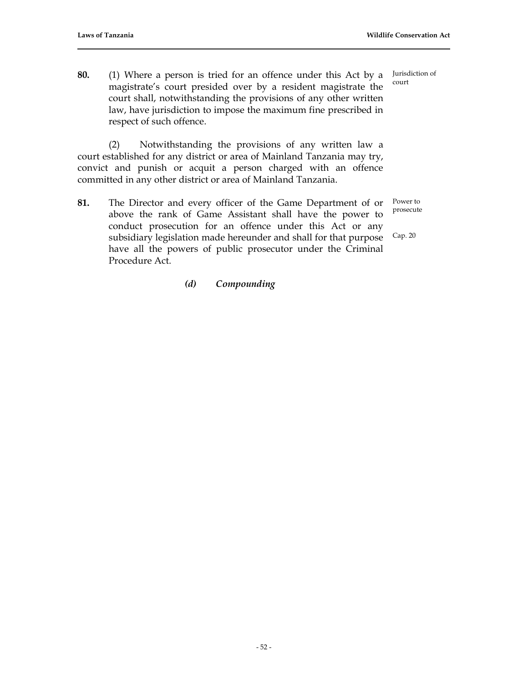**80.** (1) Where a person is tried for an offence under this Act by a magistrate's court presided over by a resident magistrate the court shall, notwithstanding the provisions of any other written law, have jurisdiction to impose the maximum fine prescribed in respect of such offence. court

(2) Notwithstanding the provisions of any written law a court established for any district or area of Mainland Tanzania may try, convict and punish or acquit a person charged with an offence committed in any other district or area of Mainland Tanzania.

**81.** The Director and every officer of the Game Department of or above the rank of Game Assistant shall have the power to conduct prosecution for an offence under this Act or any subsidiary legislation made hereunder and shall for that purpose have all the powers of public prosecutor under the Criminal Procedure Act.

# *(d) Compounding*

Jurisdiction of

Power to prosecute

Cap. 20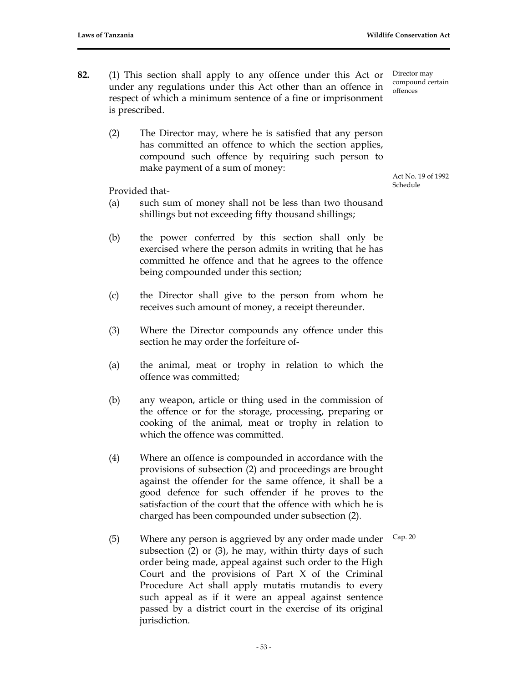Director may compound certain

offences

- **82.** (1) This section shall apply to any offence under this Act or under any regulations under this Act other than an offence in respect of which a minimum sentence of a fine or imprisonment is prescribed.
	- (2) The Director may, where he is satisfied that any person has committed an offence to which the section applies, compound such offence by requiring such person to make payment of a sum of money:

Provided that-

- (a) such sum of money shall not be less than two thousand shillings but not exceeding fifty thousand shillings;
- (b) the power conferred by this section shall only be exercised where the person admits in writing that he has committed he offence and that he agrees to the offence being compounded under this section;
- (c) the Director shall give to the person from whom he receives such amount of money, a receipt thereunder.
- (3) Where the Director compounds any offence under this section he may order the forfeiture of-
- (a) the animal, meat or trophy in relation to which the offence was committed;
- (b) any weapon, article or thing used in the commission of the offence or for the storage, processing, preparing or cooking of the animal, meat or trophy in relation to which the offence was committed.
- (4) Where an offence is compounded in accordance with the provisions of subsection (2) and proceedings are brought against the offender for the same offence, it shall be a good defence for such offender if he proves to the satisfaction of the court that the offence with which he is charged has been compounded under subsection (2).
- (5) Where any person is aggrieved by any order made under subsection (2) or (3), he may, within thirty days of such order being made, appeal against such order to the High Court and the provisions of Part X of the Criminal Procedure Act shall apply mutatis mutandis to every such appeal as if it were an appeal against sentence passed by a district court in the exercise of its original jurisdiction. Cap. 20

Act No. 19 of 1992 Schedule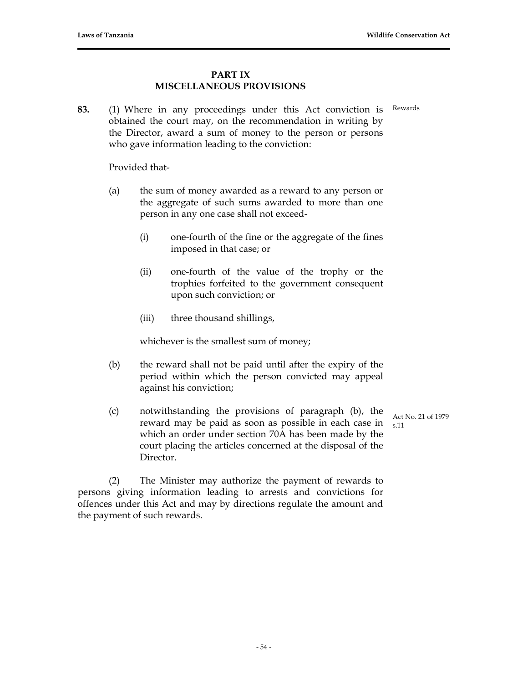# **PART IX MISCELLANEOUS PROVISIONS**

**83.** (1) Where in any proceedings under this Act conviction is obtained the court may, on the recommendation in writing by the Director, award a sum of money to the person or persons who gave information leading to the conviction: Rewards

Provided that-

- (a) the sum of money awarded as a reward to any person or the aggregate of such sums awarded to more than one person in any one case shall not exceed-
	- (i) one-fourth of the fine or the aggregate of the fines imposed in that case; or
	- (ii) one-fourth of the value of the trophy or the trophies forfeited to the government consequent upon such conviction; or
	- (iii) three thousand shillings,

whichever is the smallest sum of money;

- (b) the reward shall not be paid until after the expiry of the period within which the person convicted may appeal against his conviction;
- (c) notwithstanding the provisions of paragraph (b), the reward may be paid as soon as possible in each case in which an order under section 70A has been made by the court placing the articles concerned at the disposal of the Director.

Act No. 21 of 1979 s.11

(2) The Minister may authorize the payment of rewards to persons giving information leading to arrests and convictions for offences under this Act and may by directions regulate the amount and the payment of such rewards.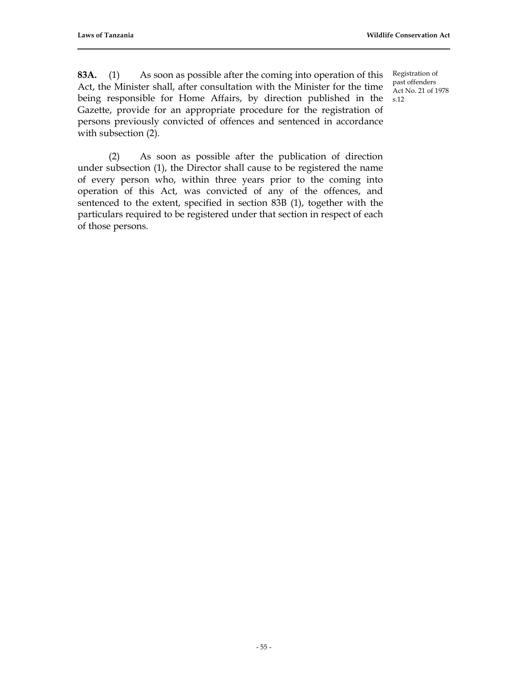Registration of

**83A.** (1) As soon as possible after the coming into operation of this Act, the Minister shall, after consultation with the Minister for the time being responsible for Home Affairs, by direction published in the Gazette, provide for an appropriate procedure for the registration of persons previously convicted of offences and sentenced in accordance with subsection (2).

past offenders Act No. 21 of 1978 s.12

(2) As soon as possible after the publication of direction under subsection (1), the Director shall cause to be registered the name of every person who, within three years prior to the coming into operation of this Act, was convicted of any of the offences, and sentenced to the extent, specified in section 83B (1), together with the particulars required to be registered under that section in respect of each of those persons.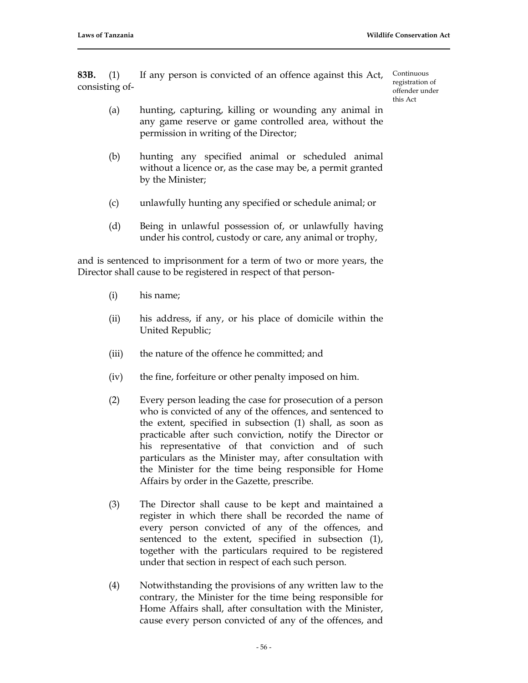**83B.** (1) If any person is convicted of an offence against this Act, consisting of-

Continuous registration of offender under this  $\Delta c$ <sup>+</sup>

- (a) hunting, capturing, killing or wounding any animal in any game reserve or game controlled area, without the permission in writing of the Director;
- (b) hunting any specified animal or scheduled animal without a licence or, as the case may be, a permit granted by the Minister;
- (c) unlawfully hunting any specified or schedule animal; or
- (d) Being in unlawful possession of, or unlawfully having under his control, custody or care, any animal or trophy,

and is sentenced to imprisonment for a term of two or more years, the Director shall cause to be registered in respect of that person-

- (i) his name;
- (ii) his address, if any, or his place of domicile within the United Republic;
- (iii) the nature of the offence he committed; and
- (iv) the fine, forfeiture or other penalty imposed on him.
- (2) Every person leading the case for prosecution of a person who is convicted of any of the offences, and sentenced to the extent, specified in subsection (1) shall, as soon as practicable after such conviction, notify the Director or his representative of that conviction and of such particulars as the Minister may, after consultation with the Minister for the time being responsible for Home Affairs by order in the Gazette, prescribe.
- (3) The Director shall cause to be kept and maintained a register in which there shall be recorded the name of every person convicted of any of the offences, and sentenced to the extent, specified in subsection (1), together with the particulars required to be registered under that section in respect of each such person.
- (4) Notwithstanding the provisions of any written law to the contrary, the Minister for the time being responsible for Home Affairs shall, after consultation with the Minister, cause every person convicted of any of the offences, and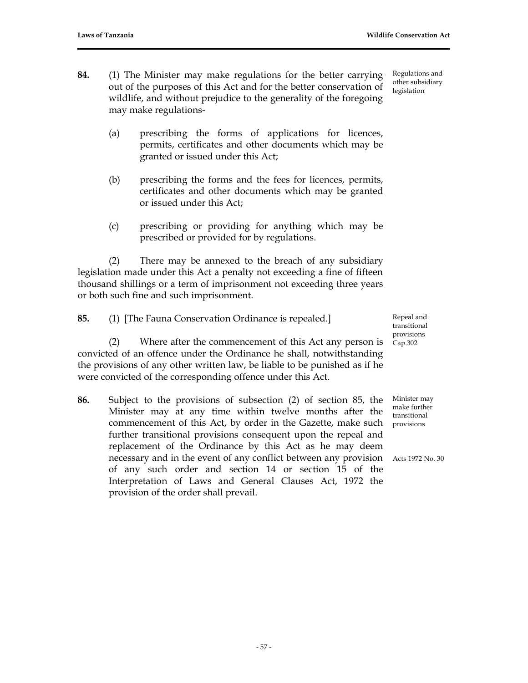- **84.** (1) The Minister may make regulations for the better carrying out of the purposes of this Act and for the better conservation of wildlife, and without prejudice to the generality of the foregoing may make regulations-
	- (a) prescribing the forms of applications for licences, permits, certificates and other documents which may be granted or issued under this Act;
	- (b) prescribing the forms and the fees for licences, permits, certificates and other documents which may be granted or issued under this Act;
	- (c) prescribing or providing for anything which may be prescribed or provided for by regulations.

(2) There may be annexed to the breach of any subsidiary legislation made under this Act a penalty not exceeding a fine of fifteen thousand shillings or a term of imprisonment not exceeding three years or both such fine and such imprisonment.

- **85.** (1) [The Fauna Conservation Ordinance is repealed.] (2) Where after the commencement of this Act any person is convicted of an offence under the Ordinance he shall, notwithstanding the provisions of any other written law, be liable to be punished as if he were convicted of the corresponding offence under this Act.
- **86.** Subject to the provisions of subsection (2) of section 85, the Minister may at any time within twelve months after the commencement of this Act, by order in the Gazette, make such further transitional provisions consequent upon the repeal and replacement of the Ordinance by this Act as he may deem necessary and in the event of any conflict between any provision Acts 1972 No. 30 of any such order and section 14 or section 15 of the Interpretation of Laws and General Clauses Act, 1972 the provision of the order shall prevail.

Regulations and other subsidiary legislation

Repeal and transitional provisions Cap.302

Minister may make further transitional provisions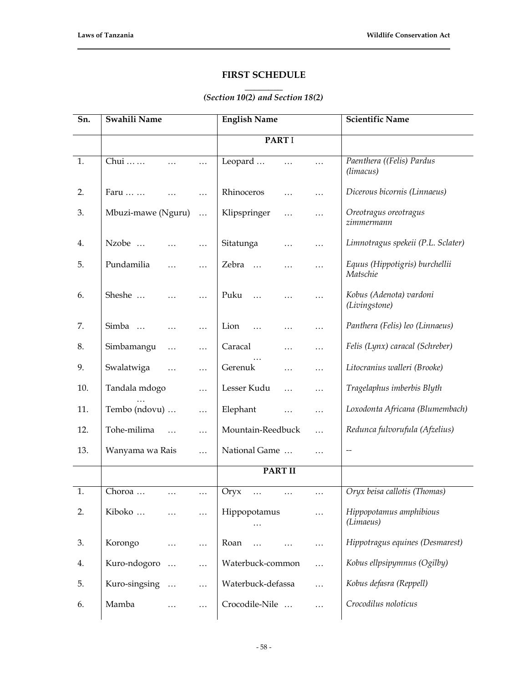# **FIRST SCHEDULE**

#### **\_\_\_\_\_\_\_\_** *(Section 10(2) and Section 18(2)*

| Sn. | Swahili Name                    | <b>English Name</b>                | <b>Scientific Name</b>                     |
|-----|---------------------------------|------------------------------------|--------------------------------------------|
|     |                                 | <b>PART I</b>                      |                                            |
| 1.  | Chui<br>.                       | Leopard<br>$\cdots$<br>$\cdots$    | Paenthera ((Felis) Pardus<br>(limacus)     |
| 2.  | Faru<br>.                       | Rhinoceros<br>.<br>.               | Dicerous bicornis (Linnaeus)               |
| 3.  | Mbuzi-mawe (Nguru)<br>.         | Klipspringer<br>.<br>.             | Oreotragus oreotragus<br>zimmermann        |
| 4.  | Nzobe<br>.                      | Sitatunga<br>.<br>$\cdots$         | Limnotragus spekeii (P.L. Sclater)         |
| 5.  | Pundamilia<br>.                 | Zebra<br>$\ldots$<br>.<br>.        | Equus (Hippotigris) burchellii<br>Matschie |
| 6.  | Sheshe<br>.                     | Puku<br>$\ddotsc$<br>.             | Kobus (Adenota) vardoni<br>(Livingstone)   |
| 7.  | Simba<br>.                      | Lion<br>$\ddotsc$<br>.<br>$\cdots$ | Panthera (Felis) leo (Linnaeus)            |
| 8.  | Simbamangu<br>.<br>.            | Caracal<br>.<br>$\cdot$            | Felis (Lynx) caracal (Schreber)            |
| 9.  | Swalatwiga<br>.                 | Gerenuk<br>.<br>.                  | Litocranius walleri (Brooke)               |
| 10. | Tandala mdogo<br>.              | Lesser Kudu<br>$\cdots$<br>.       | Tragelaphus imberbis Blyth                 |
| 11. | Tembo (ndovu)<br>.              | Elephant<br>.                      | Loxodonta Africana (Blumembach)            |
| 12. | Tohe-milima<br>$\ddotsc$<br>.   | Mountain-Reedbuck<br>$\ddotsc$     | Redunca fulvorufula (Afzelius)             |
| 13. | Wanyama wa Rais<br>.            | National Game<br>$\cdot$           | $-\!$                                      |
|     |                                 | <b>PART II</b>                     |                                            |
| 1.  | Choroa<br>.<br>.                | Oryx<br>.<br>.<br>$\cdots$         | Oryx beisa callotis (Thomas)               |
| 2.  | Kiboko<br>.<br>$\cdots$         | Hippopotamus<br>$\cdots$           | Hippopotamus amphibious<br>(Limaeus)       |
| 3.  | Korongo<br>.<br>.               | Roan<br>$\ddotsc$<br>$\cdots$      | Hippotragus equines (Desmarest)            |
| 4.  | Kuro-ndogoro<br>$\ldots$<br>.   | Waterbuck-common<br>$\cdots$       | Kobus ellpsipymnus (Ogilby)                |
| 5.  | Kuro-singsing<br>$\ddotsc$<br>. | Waterbuck-defassa<br>$\cdots$      | Kobus defasra (Reppell)                    |
| 6.  | Mamba<br>.                      | Crocodile-Nile<br>$\cdots$         | Crocodilus noloticus                       |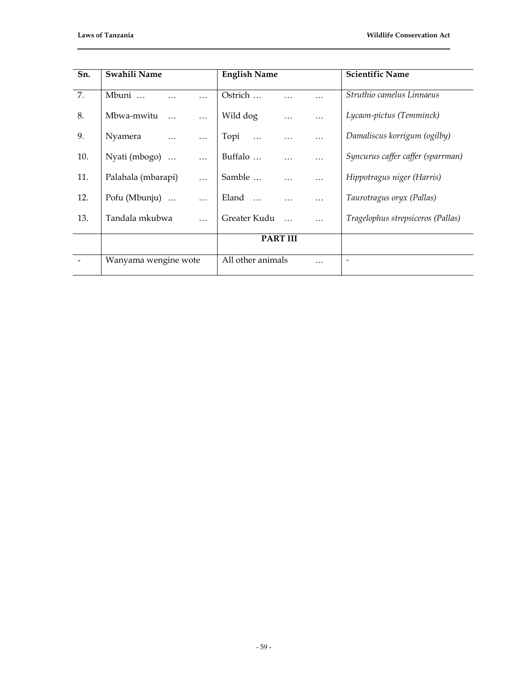| Sn. | Swahili Name                    | <b>English Name</b>                      | <b>Scientific Name</b>            |
|-----|---------------------------------|------------------------------------------|-----------------------------------|
|     |                                 |                                          | Struthio camelus Linnaeus         |
| 7.  | Mbuni<br>$\cdots$               | Ostrich<br>.<br>.                        |                                   |
| 8.  | Mbwa-mwitu<br>.                 | Wild dog<br>$\cdots$                     | Lycaon-pictus (Temminck)          |
|     |                                 |                                          |                                   |
| 9.  | Nyamera<br>$\ddots$<br>$\cdots$ | Topi<br>$\ddots$<br>$\cdots$<br>$\cdots$ | Damaliscus korrigum (ogilby)      |
| 10. | Nyati (mbogo)<br>$\cdots$       | Buffalo<br>$\cdots$<br>$\cdots$          | Syncurus caffer caffer (sparrman) |
|     |                                 |                                          |                                   |
| 11. | Palahala (mbarapi)<br>$\cdots$  | Samble<br>$\cdots$<br>$\cdots$           | Hippotragus niger (Harris)        |
| 12. | Pofu (Mbunju)<br>.              | Eland<br>$\cdots$<br>$\cdots$            | Taurotragus oryx (Pallas)         |
|     |                                 |                                          |                                   |
| 13. | Tandala mkubwa<br>$\cdots$      | Greater Kudu<br>$\cdots$                 | Tragelophus strepsiceros (Pallas) |
|     |                                 | <b>PART III</b>                          |                                   |
|     |                                 |                                          |                                   |
|     | Wanyama wengine wote            | All other animals<br>$\cdots$            | $\overline{\phantom{a}}$          |
|     |                                 |                                          |                                   |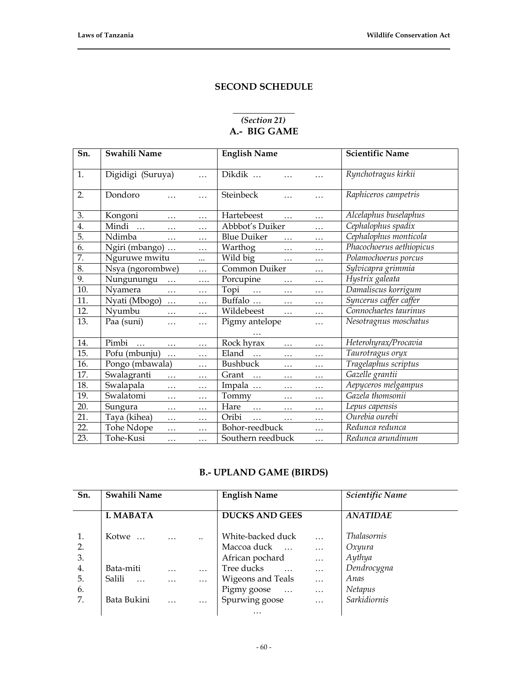# **SECOND SCHEDULE**

### **\_\_\_\_\_\_\_\_\_\_\_\_\_** *(Section 21)* **A.- BIG GAME**

| Sn. | Swahili Name              |   | <b>English Name</b>                        | <b>Scientific Name</b>   |
|-----|---------------------------|---|--------------------------------------------|--------------------------|
| 1.  | Digidigi (Suruya)         | . | Dikdik<br>.                                | Rynchotragus kirkii      |
| 2.  | Dondoro<br>.              | . | Steinbeck<br>.<br>.                        | Raphiceros campetris     |
| 3.  | Kongoni<br>.              | . | Hartebeest<br>$\cdots$<br>.                | Alcelaphus buselaphus    |
| 4.  | Mindi<br>$\dddotsc$<br>.  | . | Abbbot's Duiker<br>.                       | Cephalophus spadix       |
| 5.  | Ndimba<br>.               | . | <b>Blue Duiker</b><br>$\cdots$<br>$\cdots$ | Cephalophus monticola    |
| 6.  | Ngiri (mbango)            | . | Warthog<br>$\ddots$<br>$\cdots$            | Phacochoerus aethiopicus |
| 7.  | Nguruwe mwitu             |   | Wild big<br>$\cdots$<br>.                  | Polamochoerus porcus     |
| 8.  | Nsya (ngorombwe)          | . | Common Duiker<br>.                         | Sylvicapra grimmia       |
| 9.  | Nungunungu<br>$\ddotsc$   | . | Porcupine<br>.<br>.                        | Hystrix galeata          |
| 10. | Nyamera<br>.              | . | Topi<br>$\ddots$<br>.<br>.                 | Damaliscus korrigum      |
| 11. | Nyati (Mbogo)<br>.        | . | Buffalo<br>$\cdots$<br>$\cdots$            | Syncerus caffer caffer   |
| 12. | Nyumbu<br>.               | . | Wildebeest<br>.<br>.                       | Connochaetes taurinus    |
| 13. | Paa (suni)<br>.           | . | Pigmy antelope<br>.                        | Nesotragnus moschatus    |
| 14. | Pimbi<br>$\ddotsc$<br>.   | . | Rock hyrax<br>.<br>.                       | Heterohyrax/Procavia     |
| 15. | Pofu (mbunju)<br>$\cdots$ | . | Eland<br>$\ddots$<br>.<br>.                | Taurotragus oryx         |
| 16. | Pongo (mbawala)           | . | <b>Bushbuck</b><br>$\cdots$<br>.           | Tragelaphus scriptus     |
| 17. | Swalagranti<br>.          | . | Grant<br>$\ddots$<br>.<br>.                | Gazelle grantii          |
| 18. | Swalapala<br>.            | . | Impala<br>.<br>$\cdots$                    | Aepyceros melgampus      |
| 19. | Swalatomi<br>.            | . | Tommy<br>$\cdots$<br>.                     | Gazela thomsonii         |
| 20. | Sungura<br>.              | . | Hare<br>$\cdots$<br>.<br>.                 | Lepus capensis           |
| 21. | Taya (kihea)<br>.         | . | Oribi<br>$\cdots$<br>.<br>.                | Ourebia ourebi           |
| 22. | Tohe Ndope<br>.           | . | Bohor-reedbuck<br>.                        | Redunca redunca          |
| 23. | Tohe-Kusi<br>.            | . | Southern reedbuck<br>.                     | Redunca arundinum        |

# **B.- UPLAND GAME (BIRDS)**

| Sn.                                    | Swahili Name                                              |                      |                                                          | <b>English Name</b>                                                                                                     |                                                                                      | Scientific Name                                                                          |
|----------------------------------------|-----------------------------------------------------------|----------------------|----------------------------------------------------------|-------------------------------------------------------------------------------------------------------------------------|--------------------------------------------------------------------------------------|------------------------------------------------------------------------------------------|
|                                        | <b>I. MABATA</b>                                          |                      |                                                          | <b>DUCKS AND GEES</b>                                                                                                   |                                                                                      | <b>ANATIDAE</b>                                                                          |
| 1.<br>2.<br>3.<br>4.<br>5.<br>6.<br>7. | Kotwe<br>Bata-miti<br>Salili<br>$\dddotsc$<br>Bata Bukini | $\ddots$<br>$\cdots$ | $\ddot{\phantom{a}}$<br>$\ddots$<br>$\cdots$<br>$\cdots$ | White-backed duck<br>Maccoa duck<br>African pochard<br>Tree ducks<br>Wigeons and Teals<br>Pigmy goose<br>Spurwing goose | $\ddotsc$<br>$\ddotsc$<br>$\ddotsc$<br>$\cdots$<br>$\cdots$<br>$\ddots$<br>$\ddotsc$ | <i>Thalasornis</i><br>Oxyura<br>Aythya<br>Dendrocygna<br>Anas<br>Netapus<br>Sarkidiornis |
|                                        |                                                           |                      |                                                          | $\cdots$                                                                                                                |                                                                                      |                                                                                          |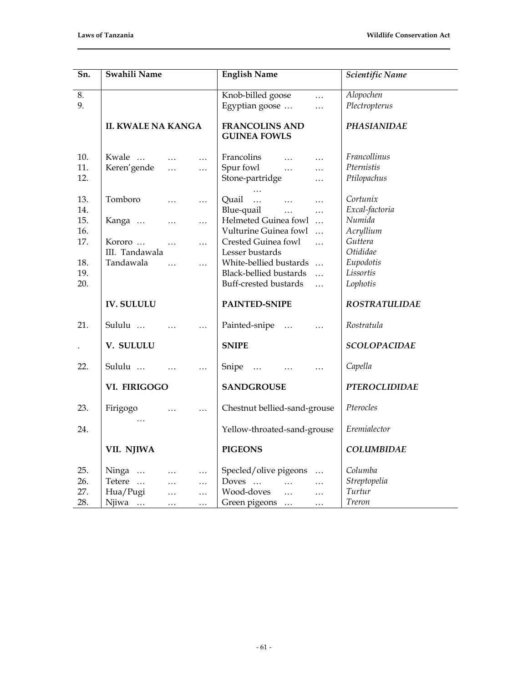| Sn.                      | Swahili Name                                                                                                                                      | <b>English Name</b>                                                                                                                                                       | Scientific Name                                              |
|--------------------------|---------------------------------------------------------------------------------------------------------------------------------------------------|---------------------------------------------------------------------------------------------------------------------------------------------------------------------------|--------------------------------------------------------------|
| 8.<br>9.                 |                                                                                                                                                   | Knob-billed goose<br>$\ldots$<br>Egyptian goose<br>.                                                                                                                      | Alopochen<br>Plectropterus                                   |
|                          | <b>II. KWALE NA KANGA</b>                                                                                                                         | <b>FRANCOLINS AND</b><br><b>GUINEA FOWLS</b>                                                                                                                              | <b>PHASIANIDAE</b>                                           |
| 10.<br>11.<br>12.        | Kwale<br>$\cdots$<br>Keren'gende<br>$\dddotsc$<br>$\ldots$                                                                                        | Francolins<br>$\ddotsc$<br>$\ddotsc$<br>Spur fowl<br>$\dddotsc$<br>$\cdots$<br>Stone-partridge<br>$\cdots$                                                                | Francollinus<br>Pternistis<br>Ptilopachus                    |
| 13.                      | Tomboro<br>$\ddotsc$<br>$\ldots$                                                                                                                  | Quail<br>$\cdots$<br>$\cdots$<br>$\ldots$                                                                                                                                 | Cortunix                                                     |
| 14.<br>15.<br>16.<br>17. | Kanga<br>$\ldots$<br>$\cdots$<br>Kororo<br>$\ddotsc$<br>$\ldots$<br>III. Tandawala                                                                | Blue-quail<br>$\dddotsc$<br>$\ddotsc$<br>Helmeted Guinea fowl<br>$\dddotsc$<br>Vulturine Guinea fowl<br>$\ddotsc$<br>Crested Guinea fowl<br>$\dddotsc$<br>Lesser bustards | Excal-factoria<br>Numida<br>Acryllium<br>Guttera<br>Otididae |
| 18.<br>19.<br>20.        | Tandawala<br>$\dddot{\phantom{0}}$<br>$\ldots$                                                                                                    | White-bellied bustards<br>$\overline{\phantom{a}}$<br><b>Black-bellied bustards</b><br>$\ddotsc$<br>Buff-crested bustards<br>$\ddotsc$                                    | Eupodotis<br>Lissortis<br>Lophotis                           |
|                          | <b>IV. SULULU</b>                                                                                                                                 | PAINTED-SNIPE                                                                                                                                                             | <b>ROSTRATULIDAE</b>                                         |
| 21.                      | Sululu                                                                                                                                            | Painted-snipe<br>$\dddotsc$<br>$\cdots$                                                                                                                                   | Rostratula                                                   |
|                          | V. SULULU                                                                                                                                         | <b>SNIPE</b>                                                                                                                                                              | <b>SCOLOPACIDAE</b>                                          |
| 22.                      | Sululu                                                                                                                                            | Snipe<br>$\dddotsc$<br>.                                                                                                                                                  | Capella                                                      |
|                          | VI. FIRIGOGO                                                                                                                                      | <b>SANDGROUSE</b>                                                                                                                                                         | <b>PTEROCLIDIDAE</b>                                         |
| 23.                      | Firigogo<br>$\cdots$<br>$\cdots$                                                                                                                  | Chestnut bellied-sand-grouse                                                                                                                                              | Pterocles                                                    |
| 24.                      |                                                                                                                                                   | Yellow-throated-sand-grouse                                                                                                                                               | Eremialector                                                 |
|                          | VII. NJIWA                                                                                                                                        | <b>PIGEONS</b>                                                                                                                                                            | <b>COLUMBIDAE</b>                                            |
| 25.<br>26.<br>27.<br>28. | Ninga<br>$\cdots$<br>$\ldots$<br>Tetere<br>$\ldots$<br>$\ldots$<br>Hua/Pugi<br>$\ldots$<br>$\ldots$<br>Njiwa<br>$\sim 10$<br>$\ldots$<br>$\ldots$ | Specled/olive pigeons<br>$\cdots$<br>Doves<br>$\cdots$<br>$\cdots$<br>Wood-doves<br>$\cdots$<br>$\ldots$<br>Green pigeons<br>.                                            | Columba<br>Streptopelia<br>Turtur<br>Treron                  |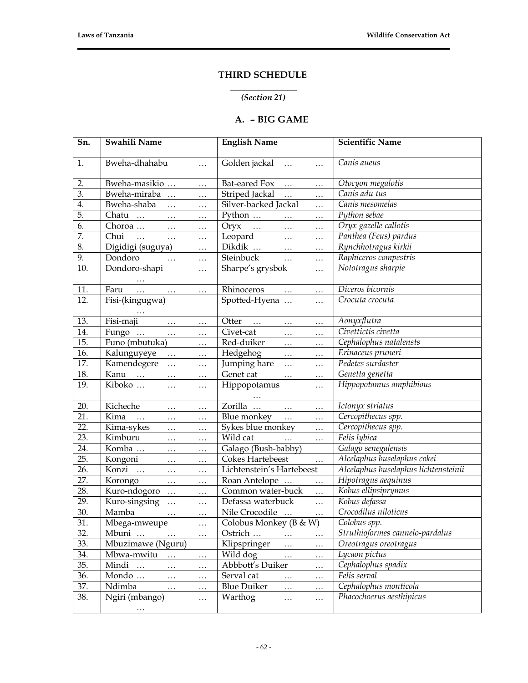# **THIRD SCHEDULE**

#### **\_\_\_\_\_\_\_\_\_\_\_\_\_\_** *(Section 21)*

# **A. – BIG GAME**

| Sn. | Swahili Name                                                                                                             | <b>English Name</b>                                                                                             | <b>Scientific Name</b>               |
|-----|--------------------------------------------------------------------------------------------------------------------------|-----------------------------------------------------------------------------------------------------------------|--------------------------------------|
| 1.  | Bweha-dhahabu<br>$\ldots$                                                                                                | Golden jackal<br>$\ddots$<br>$\ldots$                                                                           | Canis aueus                          |
| 2.  | Bweha-masikio<br>$\ldots$                                                                                                | Bat-eared Fox<br>$\ldots$<br>$\ldots$                                                                           | Otocyon megalotis                    |
| 3.  | Bweha-miraba<br>$\ldots$                                                                                                 | Striped Jackal<br>$\ldots$<br>.                                                                                 | Canis adu tus                        |
| 4.  | Bweha-shaba<br>$\ldots$                                                                                                  | Silver-backed Jackal<br>$\cdots$                                                                                | Canis mesomelas                      |
| 5.  | Chatu<br>$\sim$ $\sim$<br>$\cdots$                                                                                       | Python<br>$\ldots$<br>$\cdots$                                                                                  | Python sebae                         |
| 6.  | Choroa<br>$\ldots$                                                                                                       | $Oryx$<br>$\ldots$<br>$\cdots$                                                                                  | Oryx gazelle callotis                |
| 7.  | Chui<br>$\sim$ $\sim$ $\sim$<br>$\ldots$<br>$\cdots$                                                                     | Leopard<br>$\cdots$<br>$\ldots$                                                                                 | Panthea (Feus) pardus                |
| 8.  | Digidigi (suguya)<br>$\ldots$                                                                                            | Dikdik<br>$\ldots$<br>$\cdots$                                                                                  | Rynchhotragus kirkii                 |
| 9.  | Dondoro<br>$\ddots$<br>$\ldots$                                                                                          | Steinbuck<br>$\ldots$<br>$\ldots$                                                                               | Raphiceros compestris                |
| 10. | Dondoro-shapi<br>$\ldots$                                                                                                | Sharpe's grysbok<br>$\cdots$                                                                                    | Nototragus sharpie                   |
|     |                                                                                                                          |                                                                                                                 |                                      |
| 11. | Faru<br>$\ddots$<br>$\ldots$<br>$\mathbf{1} \bullet \mathbf{1} \bullet \mathbf{1}$ . The $\mathbf{1} \bullet \mathbf{1}$ | Rhinoceros<br>$\ldots$<br>$\cdots$                                                                              | Diceros bicornis                     |
| 12. | Fisi-(kingugwa)                                                                                                          | Spotted-Hyena<br>$\cdots$                                                                                       | Crocuta crocuta                      |
|     |                                                                                                                          |                                                                                                                 |                                      |
| 13. | Fisi-maji<br>$\ldots$ .<br>$\ldots$                                                                                      | Otter<br>$\ldots$ .<br>$\ldots$                                                                                 | Aonyxflutra                          |
| 14. | Fungo<br>$\sim$ $\sim$ $\sim$<br>$\ldots$                                                                                | Civet-cat<br>.<br>$\ldots$                                                                                      | Civettictis civetta                  |
| 15. | Funo (mbutuka)<br>$\cdots$                                                                                               | Red-duiker<br>$\ddots$<br>.                                                                                     | Cephalophus natalensts               |
| 16. | Kalunguyeye<br>$\mathbf{1}$ , and $\mathbf{1}$<br>$\ddots$                                                               | Hedgehog<br>$\ldots$<br>$\ldots$                                                                                | Erinaceus pruneri                    |
| 17. | Kamendegere<br>$\cdots$<br>$\ldots$                                                                                      | Jumping hare<br>$\ldots$<br>$\cdots$                                                                            | Pedetes surdaster                    |
| 18. | Kanu<br>$\ldots$<br>$\cdots$                                                                                             | Genet cat<br>$\ldots$<br>.                                                                                      | Genetta genetta                      |
| 19. | Kiboko<br>$\ldots$<br>$\ldots$                                                                                           | Hippopotamus<br>$\ldots$                                                                                        | Hippopotamus amphibious              |
|     |                                                                                                                          |                                                                                                                 |                                      |
| 20. | Kicheche<br>$\ldots$<br>$\cdots$                                                                                         | Zorilla<br>$\mathbf{1} \bullet \mathbf{1} \bullet \mathbf{1}$ . The $\mathbf{1} \bullet \mathbf{1}$<br>$\ldots$ | Ictonyx striatus                     |
| 21. | Kima<br>$\dddotsc$<br>$\ldots$<br>$\ldots$                                                                               | <b>Blue</b> monkey<br>$\mathbf{1}$ and $\mathbf{1}$<br>$\cdots$                                                 | Cercopithecus spp.                   |
| 22. | Kima-sykes<br>$\ldots$<br>$\cdots$                                                                                       | Sykes blue monkey<br>$\cdots$                                                                                   | Cercopithecus spp.                   |
| 23. | Kimburu<br>$\ldots$<br>$\ldots$                                                                                          | Wild cat<br>$\ldots$<br>$\ldots$                                                                                | Felis lybica                         |
| 24. | Komba<br>$\ldots$<br>$\ldots$                                                                                            | Galago (Bush-babby)                                                                                             | Galago senegalensis                  |
| 25. | Kongoni<br>$\ldots$<br>$\ldots$                                                                                          | Cokes Hartebeest<br>$\ldots$                                                                                    | Alcelaphus buselaphus cokei          |
| 26. | Konzi<br>$\ldots$<br>$\ddots$                                                                                            | Lichtenstein's Hartebeest                                                                                       | Alcelaphus buselaphus lichtensteinii |
| 27. | Korongo<br>$\ldots$<br>$\ldots$                                                                                          | Roan Antelope<br>$\ldots$                                                                                       | Hipotragus aequinus                  |
| 28. | Kuro-ndogoro<br>$\ldots$                                                                                                 | Common water-buck<br>$\ldots$                                                                                   | Kobus ellipsiprymus                  |
| 29. | Kuro-singsing<br>$\ldots$                                                                                                | Defassa waterbuck<br>$\ldots$                                                                                   | Kobus defassa                        |
| 30. | Mamba<br>$\ldots$                                                                                                        | Nile Crocodile<br>$\ldots$                                                                                      | Crocodilus niloticus                 |
| 31. | Mbega-mweupe<br>$\cdots$                                                                                                 | Colobus Monkey (B & W)                                                                                          | Colobus spp.                         |
| 32. | Mbuni<br>$\cdots$<br>$\cdots$                                                                                            | Ostrich<br>$\cdots$<br>$\cdots$                                                                                 | Struthioformes cannelo-pardalus      |
| 33. | Mbuzimawe (Nguru)                                                                                                        | Klipspringer<br>.<br>$\cdots$                                                                                   | Oreotragus oreotragus                |
| 34. | Mbwa-mwitu<br>.<br>$\ldots$                                                                                              | Wild dog<br>$\ldots$<br>$\cdots$                                                                                | Lycaon pictus                        |
| 35. | Mindi<br>$\ddots$<br>.<br>.                                                                                              | Abbbott's Duiker<br>.                                                                                           | Cephalophus spadix                   |
| 36. | Mondo<br>.<br>.                                                                                                          | Serval cat<br>$\ldots$<br>$\cdots$                                                                              | Felis serval                         |
| 37. | Ndimba<br>$\ldots$<br>$\ldots$                                                                                           | <b>Blue Duiker</b><br>$\ldots$<br>                                                                              | Cephalophus monticola                |
| 38. | Ngiri (mbango)<br>.                                                                                                      | Warthog<br>$\ldots$<br>.                                                                                        | Phacochoerus aesthipicus             |
|     | $\cdots$                                                                                                                 |                                                                                                                 |                                      |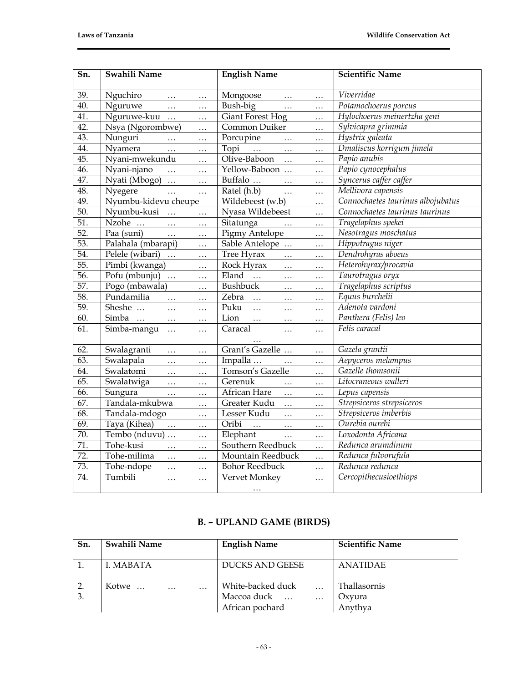| Sn.               | Swahili Name                           | <b>English Name</b>                                  | <b>Scientific Name</b>            |
|-------------------|----------------------------------------|------------------------------------------------------|-----------------------------------|
| 39.               | Nguchiro<br>$\ldots$<br>$\cdots$       | Mongoose<br>$\ldots$<br>$\ldots$                     | Viverridae                        |
| 40.               | Nguruwe<br>$\ldots$<br>$\cdots$        | Bush-big<br>$\ldots$<br>.                            | Potamochoerus porcus              |
| 41.               | Nguruwe-kuu<br>.                       | <b>Giant Forest Hog</b><br>$\ldots$                  | Hylochoerus meinertzha geni       |
| 42.               | Nsya (Ngorombwe)<br>$\ddotsc$          | Common Duiker<br>.                                   | Sylvicapra grimmia                |
| 43.               | Nunguri<br>$\dddotsc$<br>$\cdots$      | Porcupine<br>$\cdots$<br>$\cdots$                    | Hystrix galeata                   |
| 44.               | Nyamera<br>$\dddotsc$<br>$\cdots$      | Topi<br>$\sim 10^{10}$ km s $^{-1}$<br>$\ddots$<br>. | Dmaliscus korrigum jimela         |
| 45.               | Nyani-mwekundu<br>$\cdots$             | Olive-Baboon<br>$\ddots$<br>$\ldots$                 | Papio anubis                      |
| 46.               | Nyani-njano<br>$\dddotsc$<br>$\cdots$  | Yellow-Baboon<br>.                                   | Papio cynocephalus                |
| 47.               | Nyati (Mbogo)<br>$\cdots$<br>.         | Buffalo<br>$\ddots$<br>.                             | Syncerus caffer caffer            |
| 48.               | Nyegere<br>$\cdots$<br>$\cdots$        | Ratel (h.b)<br>$\cdots$<br>.                         | Mellivora capensis                |
| 49.               | Nyumbu-kidevu cheupe                   | Wildebeest (w.b)<br>.                                | Connochaetes taurinus albojubatus |
| 50.               | Nyumbu-kusi<br>$\dddotsc$<br>$\ddotsc$ | Nyasa Wildebeest<br>$\cdots$                         | Connochaetes taurinus taurinus    |
| $\overline{51}$ . | Nzohe<br>$\ddotsc$<br>.                | Sitatunga<br>$\ddots$<br>.                           | Tragelaphus spekei                |
| $\overline{52}$ . | Paa (suni)<br>$\cdots$<br>.            | Pigmy Antelope<br>$\ldots$                           | Nesotragus moschatus              |
| $\overline{53}$ . | Palahala (mbarapi)<br>.                | Sable Antelope<br>.                                  | Hippotragus niger                 |
| 54.               | Pelele (wibari)<br>$\ldots$            | Tree Hyrax<br>$\ldots$<br>.                          | Dendrohyras aboeus                |
| 55.               | Pimbi (kwanga)<br>$\ddotsc$            | Rock Hyrax<br>$\ddots$<br>.                          | Heterohyrax/procavia              |
| 56.               | Pofu (mbunju)<br>$\cdots$              | Eland<br>$\ldots$<br>$\ldots$<br>.                   | Taurotragus oryx                  |
| 57.               | Pogo (mbawala)<br>$\cdots$             | Bushbuck<br>$\ldots$<br>.                            | Tragelaphus scriptus              |
| 58.               | Pundamilia<br>$\dddotsc$<br>$\cdots$   | Zebra<br>$\cdots$<br>$\ddotsc$<br>$\cdots$           | Equus burchelii                   |
| 59.               | Sheshe<br>$\ddotsc$<br>$\cdots$        | Puku<br>$\dddotsc$<br>$\ldots$<br>.                  | Adenota vardoni                   |
| 60.               | Simba<br>$\ldots$<br>$\ldots$          | Lion<br>$\ldots$<br>$\ldots$<br>$\ldots$             | Panthera (Felis) leo              |
| 61.               | Simba-mangu<br>$\ddotsc$<br>$\cdots$   | Caracal<br>$\cdots$<br>.                             | Felis caracal                     |
|                   |                                        |                                                      |                                   |
| 62.               | Swalagranti<br>$\cdots$<br>.           | Grant's Gazelle<br>.                                 | Gazela grantii                    |
| 63.               | Swalapala<br>$\cdots$<br>.             | Impalla<br>$\dddotsc$<br>.                           | Aepyceros melampus                |
| 64.               | Swalatomi<br>$\ddots$<br>.             | Tomson's Gazelle<br>$\cdots$                         | Gazelle thomsonii                 |
| 65.               | Swalatwiga<br>$\cdots$<br>.            | Gerenuk<br>$\ldots$<br>.                             | Litocraneous walleri              |
| 66.               | Sungura<br>$\ldots$<br>.               | African Hare<br>$\ddots$<br>.                        | Lepus capensis                    |
| 67.               | Tandala-mkubwa<br>.                    | Greater Kudu<br>$\ddots$<br>.                        | Strepsiceros strepsiceros         |
| 68.               | Tandala-mdogo<br>$\ldots$              | Lesser Kudu<br>$\dddotsc$<br>.                       | Strepsiceros imberbis             |
| 69.               | Taya (Kihea)<br>$\cdots$<br>.          | Oribi<br>$\cdots$<br>$\ldots$<br>.                   | Ourebia ourebi                    |
| 70.               | Tembo (nduvu)<br>$\ldots$              | Elephant<br>$\ldots$<br>.                            | Loxodonta Africana                |
| $\overline{71}$ . | Tohe-kusi<br>$\cdots$<br>$\ldots$      | Southern Reedbuck<br>$\cdots$                        | Redunca arumdinum                 |
| $\overline{72}$ . | Tohe-milima<br>$\dddotsc$<br>$\ddotsc$ | Mountain Reedbuck<br>$\cdots$                        | Redunca fulvorufula               |
| $\overline{73}$ . | Tohe-ndope<br>.<br>$\cdots$            | <b>Bohor Reedbuck</b><br>.                           | Redunca redunca                   |
| 74.               | Tumbili<br>$\cdots$<br>$\cdots$        | Vervet Monkey<br>.                                   | Cercopithecusioethiops            |
|                   |                                        | $\ldots$                                             |                                   |

# **B. – UPLAND GAME (BIRDS)**

| Sn.      | Swahili Name           | <b>English Name</b>                                              | <b>Scientific Name</b>            |
|----------|------------------------|------------------------------------------------------------------|-----------------------------------|
|          | I. MABATA              | DUCKS AND GEESE                                                  | ANATIDAE                          |
| 2.<br>3. | Kotwe<br>$\cdots$<br>. | White-backed duck<br>Maccoa duck<br>$\ddotsc$<br>African pochard | Thallasornis<br>Oxyura<br>Anythya |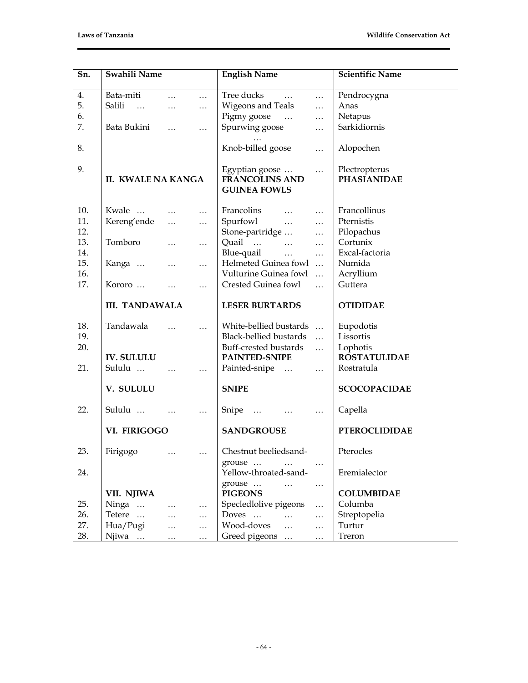| Sn.                      | Swahili Name                                               |                                                      |                                              | <b>English Name</b>                                                                                                                                                                         | <b>Scientific Name</b>                                           |
|--------------------------|------------------------------------------------------------|------------------------------------------------------|----------------------------------------------|---------------------------------------------------------------------------------------------------------------------------------------------------------------------------------------------|------------------------------------------------------------------|
| 4.<br>5.<br>6.<br>7.     | Bata-miti<br>Salili<br>$\sim$ $\sim$ $\sim$<br>Bata Bukini | $\cdots$<br>$\cdots$<br>$\ddotsc$                    | $\cdots$<br>$\cdots$<br>$\ldots$             | Tree ducks<br>$\cdots$<br>$\cdots$<br>Wigeons and Teals<br>$\cdots$<br>Pigmy goose<br>$\ddotsc$<br>Spurwing goose<br>$\ddotsc$                                                              | Pendrocygna<br>Anas<br>Netapus<br>Sarkidiornis                   |
| 8.                       |                                                            |                                                      |                                              | Knob-billed goose<br>$\ddotsc$                                                                                                                                                              | Alopochen                                                        |
| 9.                       | <b>II. KWALE NA KANGA</b>                                  |                                                      |                                              | Egyptian goose<br>$\cdots$<br><b>FRANCOLINS AND</b><br><b>GUINEA FOWLS</b>                                                                                                                  | Plectropterus<br><b>PHASIANIDAE</b>                              |
| 10.<br>11.<br>12.        | Kwale<br>Kereng'ende                                       | $\cdots$<br>$\cdots$                                 | $\cdots$<br>$\ldots$                         | Francolins<br>$\mathbf{1}$ $\mathbf{1}$ $\mathbf{1}$<br>$\ldots$<br>Spurfowl<br>$\ldots$<br>Stone-partridge<br>$\ldots$                                                                     | Francollinus<br>Pternistis<br>Pilopachus                         |
| 13.<br>14.<br>15.<br>16. | Tomboro<br>Kanga                                           | $\cdots$<br>$\ldots$                                 | $\cdots$<br>$\ldots$                         | Quail<br>$\cdots$<br>$\ldots$<br>Blue-quail<br>$\dddotsc$<br>$\ldots$<br>Helmeted Guinea fowl<br>$\ddots$<br>Vulturine Guinea fowl<br>$\ddotsc$                                             | Cortunix<br>Excal-factoria<br>Numida<br>Acryllium                |
| 17.                      | Kororo                                                     | $\cdots$                                             | $\ldots$                                     | Crested Guinea fowl<br>$\dddotsc$                                                                                                                                                           | Guttera                                                          |
|                          | <b>III. TANDAWALA</b>                                      |                                                      |                                              | <b>LESER BURTARDS</b>                                                                                                                                                                       | <b>OTIDIDAE</b>                                                  |
| 18.<br>19.<br>20.        | Tandawala<br><b>IV. SULULU</b>                             |                                                      |                                              | White-bellied bustards<br>Black-bellied bustards<br>$\ddotsc$<br>Buff-crested bustards<br>$\ddots$<br>PAINTED-SNIPE                                                                         | Eupodotis<br>Lissortis<br>Lophotis<br><b>ROSTATULIDAE</b>        |
| 21.                      | Sululu                                                     |                                                      | $\ldots$                                     | Painted-snipe<br>$\ldots$                                                                                                                                                                   | Rostratula                                                       |
|                          | V. SULULU                                                  |                                                      |                                              | <b>SNIPE</b>                                                                                                                                                                                | <b>SCOCOPACIDAE</b>                                              |
| 22.                      | Sululu                                                     |                                                      | $\ldots$                                     | Snipe<br>$\ldots$<br>$\ldots$                                                                                                                                                               | Capella                                                          |
|                          | VI. FIRIGOGO                                               |                                                      |                                              | <b>SANDGROUSE</b>                                                                                                                                                                           | <b>PTEROCLIDIDAE</b>                                             |
| 23.                      | Firigogo                                                   |                                                      |                                              | Chestnut beeliedsand-<br>grouse                                                                                                                                                             | Pterocles                                                        |
| 24.                      |                                                            |                                                      |                                              | $\ldots$<br>Yellow-throated-sand-                                                                                                                                                           | Eremialector                                                     |
| 25.<br>26.<br>27.<br>28. | VII. NJIWA<br>Ninga<br>Tetere<br>Hua/Pugi<br>Njiwa         | $\ldots$<br>$\ldots$<br>$\ldots$<br>$\mathbf{1.1}$ . | $\ldots$<br>$\ldots$<br>$\ldots$<br>$\ldots$ | grouse<br>$\cdots$<br>$\ldots$<br><b>PIGEONS</b><br>Specledlolive pigeons<br>$\ddotsc$<br>Doves<br>$\ldots$<br>$\cdots$<br>Wood-doves<br>$\cdots$<br>$\cdots$<br>Greed pigeons<br>$\ddotsc$ | <b>COLUMBIDAE</b><br>Columba<br>Streptopelia<br>Turtur<br>Treron |